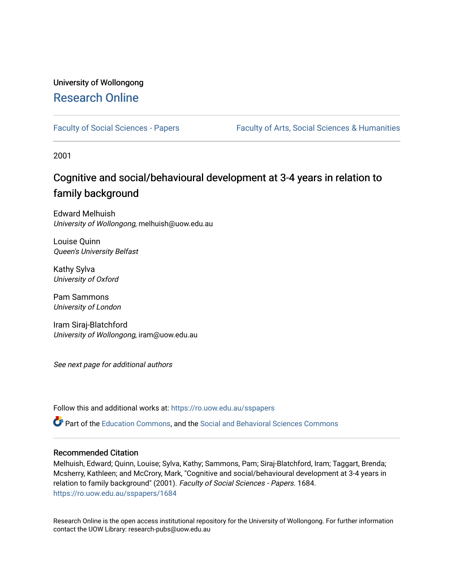### University of Wollongong [Research Online](https://ro.uow.edu.au/)

[Faculty of Social Sciences - Papers](https://ro.uow.edu.au/sspapers) Faculty of Arts, Social Sciences & Humanities

2001

### Cognitive and social/behavioural development at 3-4 years in relation to family background

Edward Melhuish University of Wollongong, melhuish@uow.edu.au

Louise Quinn Queen's University Belfast

Kathy Sylva University of Oxford

Pam Sammons University of London

Iram Siraj-Blatchford University of Wollongong, iram@uow.edu.au

See next page for additional authors

Follow this and additional works at: [https://ro.uow.edu.au/sspapers](https://ro.uow.edu.au/sspapers?utm_source=ro.uow.edu.au%2Fsspapers%2F1684&utm_medium=PDF&utm_campaign=PDFCoverPages) 

Part of the [Education Commons](http://network.bepress.com/hgg/discipline/784?utm_source=ro.uow.edu.au%2Fsspapers%2F1684&utm_medium=PDF&utm_campaign=PDFCoverPages), and the [Social and Behavioral Sciences Commons](http://network.bepress.com/hgg/discipline/316?utm_source=ro.uow.edu.au%2Fsspapers%2F1684&utm_medium=PDF&utm_campaign=PDFCoverPages) 

#### Recommended Citation

Melhuish, Edward; Quinn, Louise; Sylva, Kathy; Sammons, Pam; Siraj-Blatchford, Iram; Taggart, Brenda; Mcsherry, Kathleen; and McCrory, Mark, "Cognitive and social/behavioural development at 3-4 years in relation to family background" (2001). Faculty of Social Sciences - Papers. 1684. [https://ro.uow.edu.au/sspapers/1684](https://ro.uow.edu.au/sspapers/1684?utm_source=ro.uow.edu.au%2Fsspapers%2F1684&utm_medium=PDF&utm_campaign=PDFCoverPages)

Research Online is the open access institutional repository for the University of Wollongong. For further information contact the UOW Library: research-pubs@uow.edu.au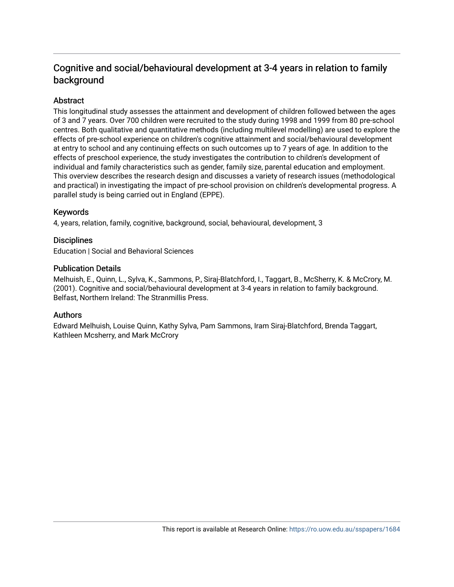### Cognitive and social/behavioural development at 3-4 years in relation to family background

#### Abstract

This longitudinal study assesses the attainment and development of children followed between the ages of 3 and 7 years. Over 700 children were recruited to the study during 1998 and 1999 from 80 pre-school centres. Both qualitative and quantitative methods (including multilevel modelling) are used to explore the effects of pre-school experience on children's cognitive attainment and social/behavioural development at entry to school and any continuing effects on such outcomes up to 7 years of age. In addition to the effects of preschool experience, the study investigates the contribution to children's development of individual and family characteristics such as gender, family size, parental education and employment. This overview describes the research design and discusses a variety of research issues (methodological and practical) in investigating the impact of pre-school provision on children's developmental progress. A parallel study is being carried out in England (EPPE).

#### Keywords

4, years, relation, family, cognitive, background, social, behavioural, development, 3

#### **Disciplines**

Education | Social and Behavioral Sciences

#### Publication Details

Melhuish, E., Quinn, L., Sylva, K., Sammons, P., Siraj-Blatchford, I., Taggart, B., McSherry, K. & McCrory, M. (2001). Cognitive and social/behavioural development at 3-4 years in relation to family background. Belfast, Northern Ireland: The Stranmillis Press.

#### Authors

Edward Melhuish, Louise Quinn, Kathy Sylva, Pam Sammons, Iram Siraj-Blatchford, Brenda Taggart, Kathleen Mcsherry, and Mark McCrory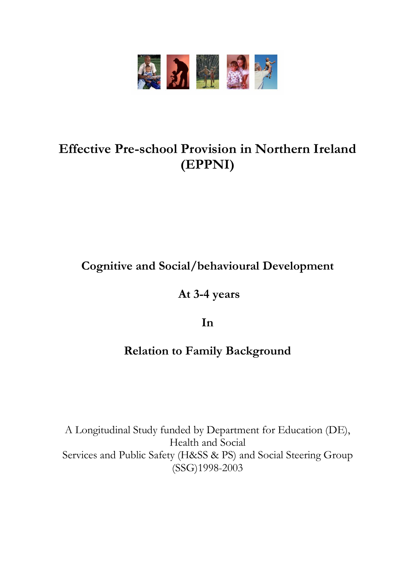

# **Effective Pre-school Provision in Northern Ireland (EPPNI)**

**Cognitive and Social/behavioural Development**

**At 3-4 years** 

**In** 

## **Relation to Family Background**

A Longitudinal Study funded by Department for Education (DE), Health and Social Services and Public Safety (H&SS & PS) and Social Steering Group (SSG)1998-2003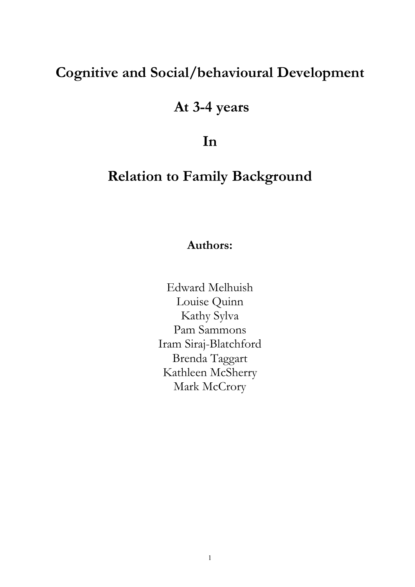# **Cognitive and Social/behavioural Development**

# **At 3-4 years**

**In** 

# **Relation to Family Background**

### **Authors:**

Edward Melhuish Louise Quinn Kathy Sylva Pam Sammons Iram Siraj-Blatchford Brenda Taggart Kathleen McSherry Mark McCrory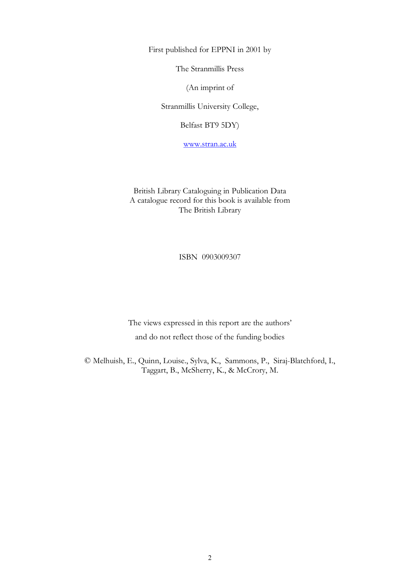First published for EPPNI in 2001 by

The Stranmillis Press

(An imprint of

Stranmillis University College,

Belfast BT9 5DY)

www.stran.ac.uk

British Library Cataloguing in Publication Data A catalogue record for this book is available from The British Library

ISBN 0903009307

The views expressed in this report are the authors' and do not reflect those of the funding bodies

© Melhuish, E., Quinn, Louise., Sylva, K., Sammons, P., Siraj-Blatchford, I., Taggart, B., McSherry, K., & McCrory, M.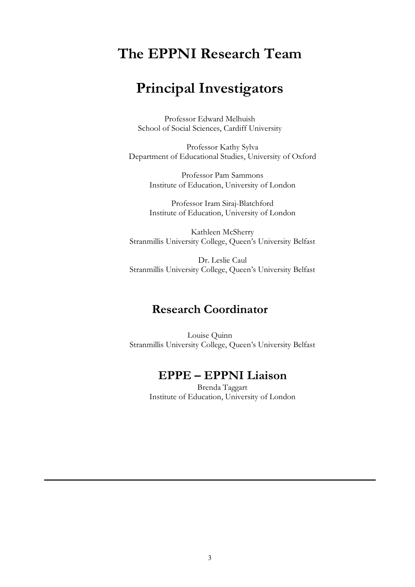# **The EPPNI Research Team**

# **Principal Investigators**

Professor Edward Melhuish School of Social Sciences, Cardiff University

Professor Kathy Sylva Department of Educational Studies, University of Oxford

> Professor Pam Sammons Institute of Education, University of London

> Professor Iram Siraj-Blatchford Institute of Education, University of London

Kathleen McSherry Stranmillis University College, Queen's University Belfast

Dr. Leslie Caul Stranmillis University College, Queen's University Belfast

### **Research Coordinator**

Louise Quinn Stranmillis University College, Queen's University Belfast

### **EPPE – EPPNI Liaison**

Brenda Taggart Institute of Education, University of London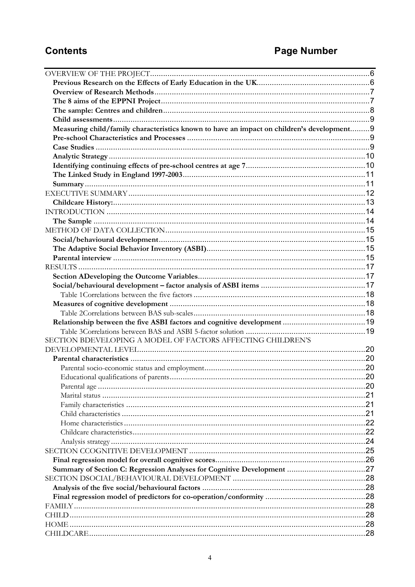## **Contents**

# **Page Number**

| Measuring child/family characteristics known to have an impact on children's development 9 |  |
|--------------------------------------------------------------------------------------------|--|
|                                                                                            |  |
|                                                                                            |  |
|                                                                                            |  |
|                                                                                            |  |
|                                                                                            |  |
|                                                                                            |  |
|                                                                                            |  |
|                                                                                            |  |
|                                                                                            |  |
|                                                                                            |  |
|                                                                                            |  |
|                                                                                            |  |
|                                                                                            |  |
|                                                                                            |  |
|                                                                                            |  |
|                                                                                            |  |
|                                                                                            |  |
|                                                                                            |  |
|                                                                                            |  |
|                                                                                            |  |
|                                                                                            |  |
|                                                                                            |  |
| SECTION BDEVELOPING A MODEL OF FACTORS AFFECTING CHILDREN'S                                |  |
|                                                                                            |  |
|                                                                                            |  |
|                                                                                            |  |
|                                                                                            |  |
|                                                                                            |  |
|                                                                                            |  |
|                                                                                            |  |
|                                                                                            |  |
|                                                                                            |  |
|                                                                                            |  |
|                                                                                            |  |
|                                                                                            |  |
|                                                                                            |  |
|                                                                                            |  |
|                                                                                            |  |
|                                                                                            |  |
|                                                                                            |  |
|                                                                                            |  |
|                                                                                            |  |
|                                                                                            |  |
|                                                                                            |  |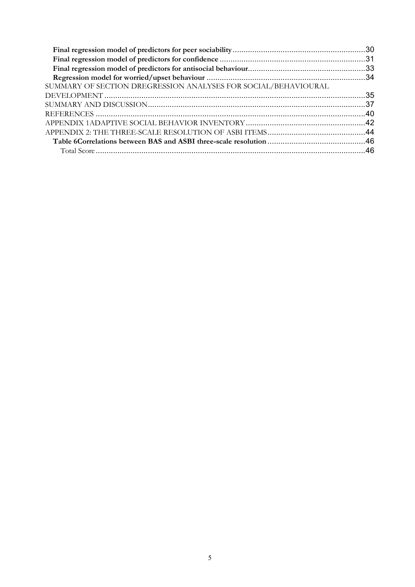| SUMMARY OF SECTION DREGRESSION ANALYSES FOR SOCIAL/BEHAVIOURAL |
|----------------------------------------------------------------|
|                                                                |
|                                                                |
|                                                                |
|                                                                |
|                                                                |
|                                                                |
|                                                                |
|                                                                |
|                                                                |
|                                                                |
|                                                                |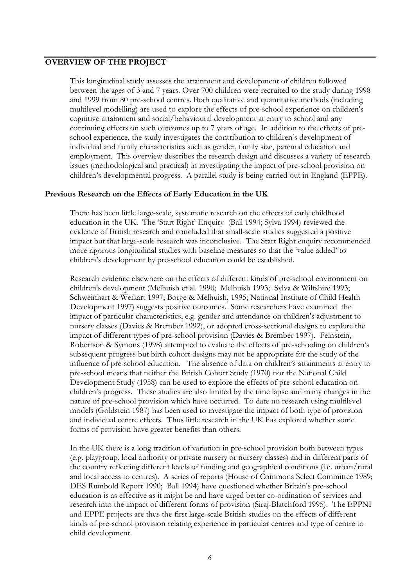#### **OVERVIEW OF THE PROJECT**

This longitudinal study assesses the attainment and development of children followed between the ages of 3 and 7 years. Over 700 children were recruited to the study during 1998 and 1999 from 80 pre-school centres. Both qualitative and quantitative methods (including multilevel modelling) are used to explore the effects of pre-school experience on children's cognitive attainment and social/behavioural development at entry to school and any continuing effects on such outcomes up to 7 years of age. In addition to the effects of preschool experience, the study investigates the contribution to children's development of individual and family characteristics such as gender, family size, parental education and employment. This overview describes the research design and discusses a variety of research issues (methodological and practical) in investigating the impact of pre-school provision on children's developmental progress. A parallel study is being carried out in England (EPPE).

#### **Previous Research on the Effects of Early Education in the UK**

There has been little large-scale, systematic research on the effects of early childhood education in the UK. The 'Start Right' Enquiry (Ball 1994; Sylva 1994) reviewed the evidence of British research and concluded that small-scale studies suggested a positive impact but that large-scale research was inconclusive. The Start Right enquiry recommended more rigorous longitudinal studies with baseline measures so that the 'value added' to children's development by pre-school education could be established.

Research evidence elsewhere on the effects of different kinds of pre-school environment on children's development (Melhuish et al. 1990; Melhuish 1993; Sylva & Wiltshire 1993; Schweinhart & Weikart 1997; Borge & Melhuish, 1995; National Institute of Child Health Development 1997) suggests positive outcomes. Some researchers have examined the impact of particular characteristics, e.g. gender and attendance on children's adjustment to nursery classes (Davies & Brember 1992), or adopted cross-sectional designs to explore the impact of different types of pre-school provision (Davies & Brember 1997). Feinstein, Robertson & Symons (1998) attempted to evaluate the effects of pre-schooling on children's subsequent progress but birth cohort designs may not be appropriate for the study of the influence of pre-school education. The absence of data on children's attainments at entry to pre-school means that neither the British Cohort Study (1970) nor the National Child Development Study (1958) can be used to explore the effects of pre-school education on children's progress. These studies are also limited by the time lapse and many changes in the nature of pre-school provision which have occurred. To date no research using multilevel models (Goldstein 1987) has been used to investigate the impact of both type of provision and individual centre effects. Thus little research in the UK has explored whether some forms of provision have greater benefits than others.

In the UK there is a long tradition of variation in pre-school provision both between types (e.g. playgroup, local authority or private nursery or nursery classes) and in different parts of the country reflecting different levels of funding and geographical conditions (i.e. urban/rural and local access to centres). A series of reports (House of Commons Select Committee 1989; DES Rumbold Report 1990; Ball 1994) have questioned whether Britain's pre-school education is as effective as it might be and have urged better co-ordination of services and research into the impact of different forms of provision (Siraj-Blatchford 1995). The EPPNI and EPPE projects are thus the first large-scale British studies on the effects of different kinds of pre-school provision relating experience in particular centres and type of centre to child development.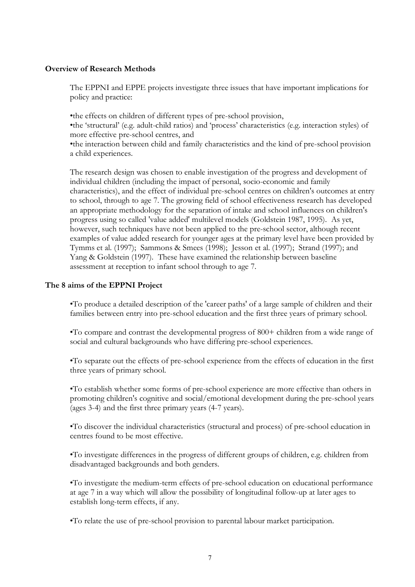#### **Overview of Research Methods**

The EPPNI and EPPE projects investigate three issues that have important implications for policy and practice:

•the effects on children of different types of pre-school provision, •the 'structural' (e.g. adult-child ratios) and 'process' characteristics (e.g. interaction styles) of more effective pre-school centres, and •the interaction between child and family characteristics and the kind of pre-school provision a child experiences.

The research design was chosen to enable investigation of the progress and development of individual children (including the impact of personal, socio-economic and family characteristics), and the effect of individual pre-school centres on children's outcomes at entry to school, through to age 7. The growing field of school effectiveness research has developed an appropriate methodology for the separation of intake and school influences on children's progress using so called 'value added' multilevel models (Goldstein 1987, 1995). As yet, however, such techniques have not been applied to the pre-school sector, although recent examples of value added research for younger ages at the primary level have been provided by Tymms et al. (1997); Sammons & Smees (1998); Jesson et al. (1997); Strand (1997); and Yang & Goldstein (1997). These have examined the relationship between baseline assessment at reception to infant school through to age 7.

#### **The 8 aims of the EPPNI Project**

•To produce a detailed description of the 'career paths' of a large sample of children and their families between entry into pre-school education and the first three years of primary school.

•To compare and contrast the developmental progress of 800+ children from a wide range of social and cultural backgrounds who have differing pre-school experiences.

•To separate out the effects of pre-school experience from the effects of education in the first three years of primary school.

•To establish whether some forms of pre-school experience are more effective than others in promoting children's cognitive and social/emotional development during the pre-school years (ages 3-4) and the first three primary years (4-7 years).

•To discover the individual characteristics (structural and process) of pre-school education in centres found to be most effective.

•To investigate differences in the progress of different groups of children, e.g. children from disadvantaged backgrounds and both genders.

•To investigate the medium-term effects of pre-school education on educational performance at age 7 in a way which will allow the possibility of longitudinal follow-up at later ages to establish long-term effects, if any.

•To relate the use of pre-school provision to parental labour market participation.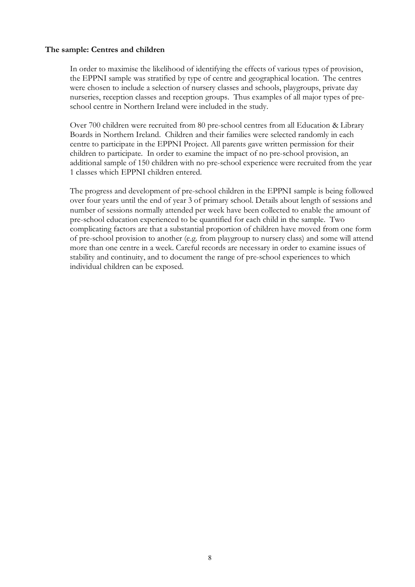#### **The sample: Centres and children**

In order to maximise the likelihood of identifying the effects of various types of provision, the EPPNI sample was stratified by type of centre and geographical location. The centres were chosen to include a selection of nursery classes and schools, playgroups, private day nurseries, reception classes and reception groups. Thus examples of all major types of preschool centre in Northern Ireland were included in the study.

Over 700 children were recruited from 80 pre-school centres from all Education & Library Boards in Northern Ireland. Children and their families were selected randomly in each centre to participate in the EPPNI Project. All parents gave written permission for their children to participate. In order to examine the impact of no pre-school provision, an additional sample of 150 children with no pre-school experience were recruited from the year 1 classes which EPPNI children entered.

The progress and development of pre-school children in the EPPNI sample is being followed over four years until the end of year 3 of primary school. Details about length of sessions and number of sessions normally attended per week have been collected to enable the amount of pre-school education experienced to be quantified for each child in the sample. Two complicating factors are that a substantial proportion of children have moved from one form of pre-school provision to another (e.g. from playgroup to nursery class) and some will attend more than one centre in a week. Careful records are necessary in order to examine issues of stability and continuity, and to document the range of pre-school experiences to which individual children can be exposed.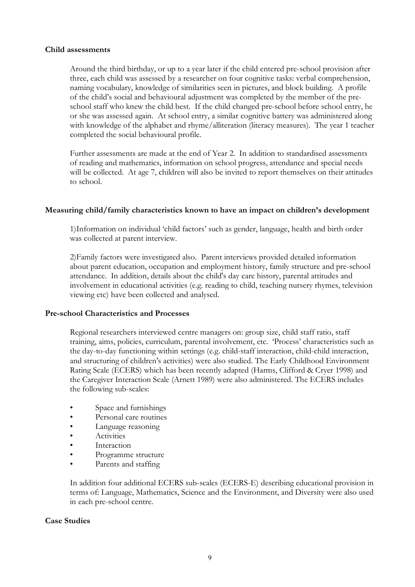#### **Child assessments**

Around the third birthday, or up to a year later if the child entered pre-school provision after three, each child was assessed by a researcher on four cognitive tasks: verbal comprehension, naming vocabulary, knowledge of similarities seen in pictures, and block building. A profile of the child's social and behavioural adjustment was completed by the member of the pre school staff who knew the child best. If the child changed pre-school before school entry, he or she was assessed again. At school entry, a similar cognitive battery was administered along with knowledge of the alphabet and rhyme/alliteration (literacy measures). The year 1 teacher completed the social behavioural profile.

Further assessments are made at the end of Year 2. In addition to standardised assessments of reading and mathematics, information on school progress, attendance and special needs will be collected. At age 7, children will also be invited to report themselves on their attitudes to school.

#### **Measuring child/family characteristics known to have an impact on children's development**

1)Information on individual 'child factors' such as gender, language, health and birth order was collected at parent interview.

2)Family factors were investigated also. Parent interviews provided detailed information about parent education, occupation and employment history, family structure and pre-school attendance. In addition, details about the child's day care history, parental attitudes and involvement in educational activities (e.g. reading to child, teaching nursery rhymes, television viewing etc) have been collected and analysed.

#### **Pre-school Characteristics and Processes**

Regional researchers interviewed centre managers on: group size, child staff ratio, staff training, aims, policies, curriculum, parental involvement, etc. 'Process' characteristics such as the day-to-day functioning within settings (e.g. child-staff interaction, child-child interaction, and structuring of children's activities) were also studied. The Early Childhood Environment Rating Scale (ECERS) which has been recently adapted (Harms, Clifford & Cryer 1998) and the Caregiver Interaction Scale (Arnett 1989) were also administered. The ECERS includes the following sub-scales:

- Space and furnishings
- Personal care routines
- Language reasoning
- **Activities**
- Interaction
- Programme structure
- Parents and staffing

In addition four additional ECERS sub-scales (ECERS-E) describing educational provision in terms of: Language, Mathematics, Science and the Environment, and Diversity were also used in each pre-school centre.

#### **Case Studies**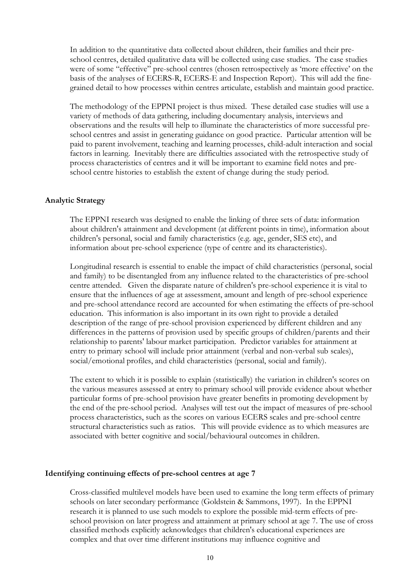In addition to the quantitative data collected about children, their families and their preschool centres, detailed qualitative data will be collected using case studies. The case studies were of some "effective" pre-school centres (chosen retrospectively as 'more effective' on the basis of the analyses of ECERS-R, ECERS-E and Inspection Report). This will add the finegrained detail to how processes within centres articulate, establish and maintain good practice.

The methodology of the EPPNI project is thus mixed. These detailed case studies will use a variety of methods of data gathering, including documentary analysis, interviews and observations and the results will help to illuminate the characteristics of more successful preschool centres and assist in generating guidance on good practice. Particular attention will be paid to parent involvement, teaching and learning processes, child-adult interaction and social factors in learning. Inevitably there are difficulties associated with the retrospective study of process characteristics of centres and it will be important to examine field notes and preschool centre histories to establish the extent of change during the study period.

#### **Analytic Strategy**

The EPPNI research was designed to enable the linking of three sets of data: information about children's attainment and development (at different points in time), information about children's personal, social and family characteristics (e.g. age, gender, SES etc), and information about pre-school experience (type of centre and its characteristics).

Longitudinal research is essential to enable the impact of child characteristics (personal, social and family) to be disentangled from any influence related to the characteristics of pre-school centre attended. Given the disparate nature of children's pre-school experience it is vital to ensure that the influences of age at assessment, amount and length of pre-school experience and pre-school attendance record are accounted for when estimating the effects of pre-school education. This information is also important in its own right to provide a detailed description of the range of pre-school provision experienced by different children and any differences in the patterns of provision used by specific groups of children/parents and their relationship to parents' labour market participation. Predictor variables for attainment at entry to primary school will include prior attainment (verbal and non-verbal sub scales), social/emotional profiles, and child characteristics (personal, social and family).

The extent to which it is possible to explain (statistically) the variation in children's scores on the various measures assessed at entry to primary school will provide evidence about whether particular forms of pre-school provision have greater benefits in promoting development by the end of the pre-school period. Analyses will test out the impact of measures of pre-school process characteristics, such as the scores on various ECERS scales and pre-school centre structural characteristics such as ratios. This will provide evidence as to which measures are associated with better cognitive and social/behavioural outcomes in children.

#### **Identifying continuing effects of pre-school centres at age 7**

Cross-classified multilevel models have been used to examine the long term effects of primary schools on later secondary performance (Goldstein & Sammons, 1997). In the EPPNI research it is planned to use such models to explore the possible mid-term effects of pre school provision on later progress and attainment at primary school at age 7. The use of cross classified methods explicitly acknowledges that children's educational experiences are complex and that over time different institutions may influence cognitive and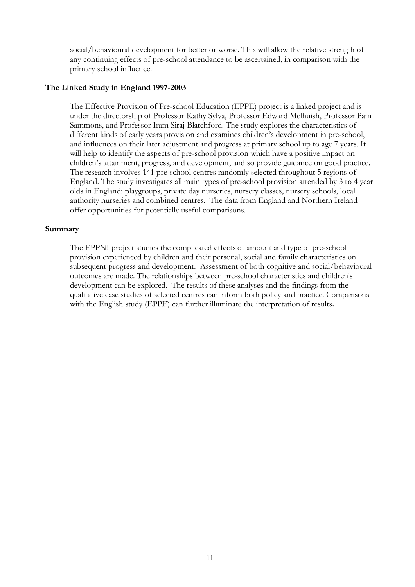social/behavioural development for better or worse. This will allow the relative strength of any continuing effects of pre-school attendance to be ascertained, in comparison with the primary school influence.

#### **The Linked Study in England 1997-2003**

The Effective Provision of Pre-school Education (EPPE) project is a linked project and is under the directorship of Professor Kathy Sylva, Professor Edward Melhuish, Professor Pam Sammons, and Professor Iram Siraj-Blatchford. The study explores the characteristics of different kinds of early years provision and examines children's development in pre-school, and influences on their later adjustment and progress at primary school up to age 7 years. It will help to identify the aspects of pre-school provision which have a positive impact on children's attainment, progress, and development, and so provide guidance on good practice. The research involves 141 pre-school centres randomly selected throughout <sup>5</sup> regions of England. The study investigates all main types of pre-school provision attended by 3 to 4 year olds in England: playgroups, private day nurseries, nursery classes, nursery schools, local authority nurseries and combined centres. The data from England and Northern Ireland offer opportunities for potentially useful comparisons.

#### **Summary**

The EPPNI project studies the complicated effects of amount and type of pre-school provision experienced by children and their personal, social and family characteristics on subsequent progress and development. Assessment of both cognitive and social/behavioural outcomes are made. The relationships between pre-school characteristics and children's development can be explored. The results of these analyses and the findings from the qualitative case studies of selected centres can inform both policy and practice. Comparisons with the English study (EPPE) can further illuminate the interpretation of results**.**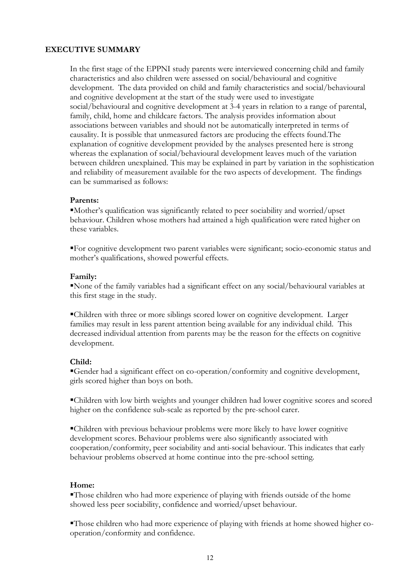#### **EXECUTIVE SUMMARY**

In the first stage of the EPPNI study parents were interviewed concerning child and family characteristics and also children were assessed on social/behavioural and cognitive development. The data provided on child and family characteristics and social/behavioural and cognitive development at the start of the study were used to investigate social/behavioural and cognitive development at 3-4 years in relation to a range of parental, family, child, home and childcare factors. The analysis provides information about associations between variables and should not be automatically interpreted in terms of causality. It is possible that unmeasured factors are producing the effects found.The explanation of cognitive development provided by the analyses presented here is strong whereas the explanation of social/behavioural development leaves much of the variation between children unexplained. This may be explained in part by variation in the sophistication and reliability of measurement available for the two aspects of development. The findings can be summarised as follows:

#### **Parents:**

 $\blacksquare$ Mother's qualification was significantly related to peer sociability and worried/upset behaviour. Children whose mothers had attained a high qualification were rated higher on these variables.

ßFor cognitive development two parent variables were significant; socio-economic status and mother's qualifications, showed powerful effects.

#### **Family:**

None of the family variables had a significant effect on any social/behavioural variables at this first stage in the study.

ßChildren with three or more siblings scored lower on cognitive development. Larger families may result in less parent attention being available for any individual child. This decreased individual attention from parents may be the reason for the effects on cognitive development.

#### **Child:**

Gender had a significant effect on co-operation/conformity and cognitive development, girls scored higher than boys on both.

ßChildren with low birth weights and younger children had lower cognitive scores and scored higher on the confidence sub-scale as reported by the pre-school carer.

ßChildren with previous behaviour problems were more likely to have lower cognitive development scores. Behaviour problems were also significantly associated with cooperation/conformity, peer sociability and anti-social behaviour. This indicates that early behaviour problems observed at home continue into the pre-school setting.

#### **Home:**

ßThose children who had more experience of playing with friends outside of the home showed less peer sociability, confidence and worried/upset behaviour.

Those children who had more experience of playing with friends at home showed higher cooperation/conformity and confidence.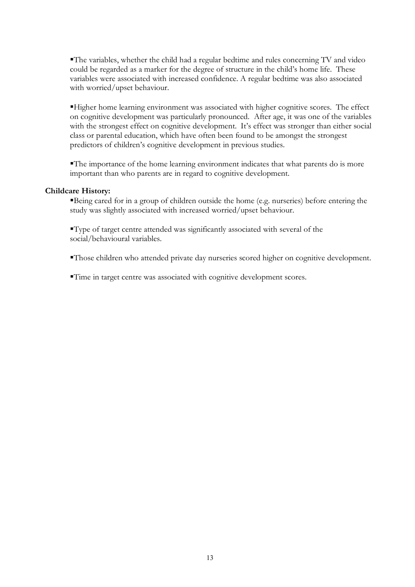The variables, whether the child had a regular bedtime and rules concerning TV and video could be regarded as a marker for the degree of structure in the child's home life. These variables were associated with increased confidence. A regular bedtime was also associated with worried/upset behaviour.

ßHigher home learning environment was associated with higher cognitive scores. The effect on cognitive development was particularly pronounced. After age, it was one of the variables with the strongest effect on cognitive development. It's effect was stronger than either social class or parental education, which have often been found to be amongst the strongest predictors of children's cognitive development in previous studies.

 $\blacksquare$ The importance of the home learning environment indicates that what parents do is more important than who parents are in regard to cognitive development.

#### **Childcare History:**

Being cared for in a group of children outside the home (e.g. nurseries) before entering the study was slightly associated with increased worried/upset behaviour.

ßType of target centre attended was significantly associated with several of the social/behavioural variables.

ßThose children who attended private day nurseries scored higher on cognitive development.

ßTime in target centre was associated with cognitive development scores.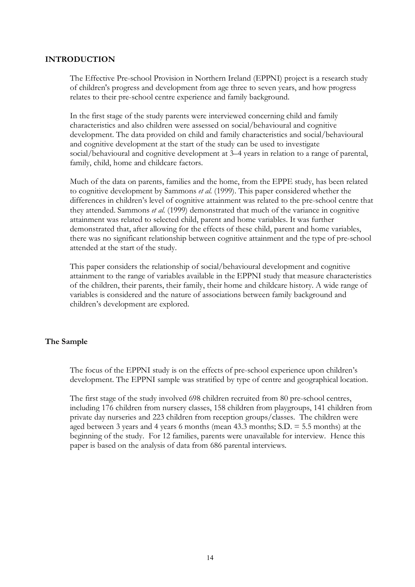#### **INTRODUCTION**

The Effective Pre-school Provision in Northern Ireland (EPPNI) project is a research study of children's progress and development from age three to seven years, and how progress relates to their pre-school centre experience and family background.

In the first stage of the study parents were interviewed concerning child and family characteristics and also children were assessed on social/behavioural and cognitive development. The data provided on child and family characteristics and social/behavioural and cognitive development at the start of the study can be used to investigate social/behavioural and cognitive development at 3–4 years in relation to a range of parental, family, child, home and childcare factors.

Much of the data on parents, families and the home, from the EPPE study, has been related to cognitive development by Sammons *et al.* (1999). This paper considered whether the differences in children's level of cognitive attainment was related to the pre-school centre that they attended. Sammons *et al.* (1999) demonstrated that much of the variance in cognitive attainment was related to selected child, parent and home variables. It was further demonstrated that, after allowing for the effects of these child, parent and home variables, there was no significant relationship between cognitive attainment and the type of pre-school attended at the start of the study.

This paper considers the relationship of social/behavioural development and cognitive attainment to the range of variables available in the EPPNI study that measure characteristics of the children, their parents, their family, their home and childcare history. A wide range of variables is considered and the nature of associations between family background and children's development are explored.

#### **The Sample**

The focus of the EPPNI study is on the effects of pre-school experience upon children's development. The EPPNI sample was stratified by type of centre and geographical location.

The first stage of the study involved 698 children recruited from 80 pre-school centres, including 176 children from nursery classes, 158 children from playgroups, 141 children from private day nurseries and 223 children from reception groups/classes. The children were aged between 3 years and 4 years 6 months (mean 43.3 months; S.D. = 5.5 months) at the beginning of the study. For 12 families, parents were unavailable for interview. Hence this paper is based on the analysis of data from 686 parental interviews.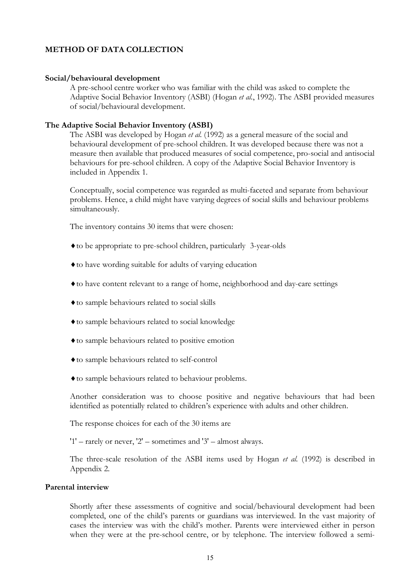#### **METHOD OF DATA COLLECTION**

#### **Social/behavioural development**

A pre-school centre worker who was familiar with the child was asked to complete the Adaptive Social Behavior Inventory (ASBI) (Hogan *etal.*, 1992). The ASBI provided measures of social/behavioural development.

#### **The Adaptive Social Behavior Inventory (ASBI)**

The ASBI was developed by Hogan *et al.* (1992) as a general measure of the social and behavioural development of pre-school children. It was developed because there was not a measure then available that produced measures of social competence, pro-social and antisocial behaviours for pre-school children. A copy of the Adaptive Social Behavior Inventory is included in Appendix 1.

Conceptually, social competence was regarded as multi-faceted and separate from behaviour problems. Hence, a child might have varying degrees of social skills and behaviour problems simultaneously.

The inventory contains 30 items that were chosen:

- ®to be appropriate to pre-school children, particularly 3-year-olds
- ®to have wording suitable for adults of varying education
- ®to have content relevant to a range of home, neighborhood and day-care settings
- ®to sample behaviours related to social skills
- ®to sample behaviours related to social knowledge
- ®to sample behaviours related to positive emotion
- ®to sample behaviours related to self-control
- ®to sample behaviours related to behaviour problems.

Another consideration was to choose positive and negative behaviours that had been identified as potentially related to children's experience with adults and other children.

The response choices for each of the 30 items are

'1' – rarely or never, '2' – sometimes and '3' – almost always.

The three-scale resolution of the ASBI items used by Hogan *et al.* (1992) is described in Appendix 2.

#### **Parental interview**

Shortly after these assessments of cognitive and social/behavioural development had been completed, one of the child's parents or guardians was interviewed. In the vast majority of cases the interview was with the child's mother. Parents were interviewed either in person when they were at the pre-school centre, or by telephone. The interview followed a semi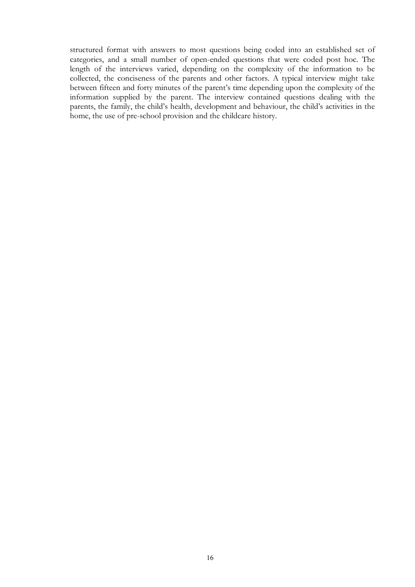structured format with answers to most questions being coded into an established set of categories, and a small number of open-ended questions that were coded post hoc. The length of the interviews varied, depending on the complexity of the information to be collected, the conciseness of the parents and other factors. A typical interview might take between fifteen and forty minutes of the parent's time depending upon the complexity of the information supplied by the parent. The interview contained questions dealing with the parents, the family, the child's health, development and behaviour, the child's activities in the home, the use of pre-school provision and the childcare history.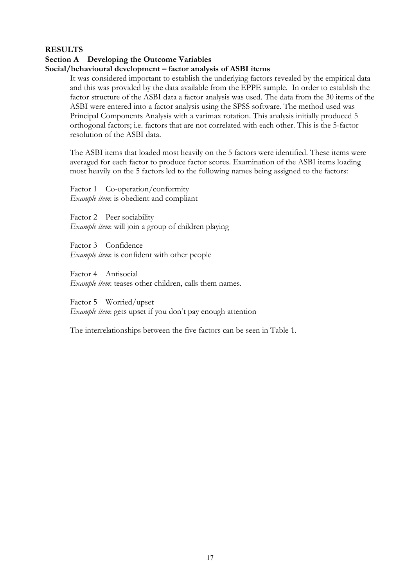#### **RESULTS**

#### **Section A Developing the Outcome Variables**

#### **Social/behavioural development – factor analysis of ASBI items**

It was considered important to establish the underlying factors revealed by the empirical data and this was provided by the data available from the EPPE sample. In order to establish the factor structure of the ASBI data a factor analysis was used. The data from the 30 items of the ASBI were entered into a factor analysis using the SPSS software. The method used was Principal Components Analysis with a varimax rotation. This analysis initially produced 5 orthogonal factors; i.e. factors that are not correlated with each other. This is the 5-factor resolution of the ASBI data.

The ASBI items that loaded most heavily on the 5 factors were identified. These items were averaged for each factor to produce factor scores. Examination of the ASBI items loading most heavily on the 5 factors led to the following names being assigned to the factors:

Factor 1 Co-operation/conformity *Example item*: is obedient and compliant

Factor 2 Peer sociability *Example item*: will join a group of children playing

Factor 3 Confidence *Example item*: is confident with other people

Factor 4 Antisocial *Example item*: teases other children, calls them names.

Factor 5 Worried/upset *Example item*: gets upset if you don't pay enough attention

The interrelationships between the five factors can be seen in Table 1.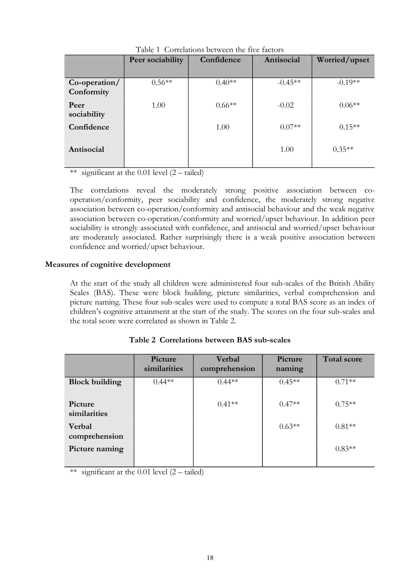|                             | Peer sociability | Confidence | Antisocial | Worried/upset |
|-----------------------------|------------------|------------|------------|---------------|
| Co-operation/<br>Conformity | $0.56**$         | $0.40**$   | $-0.45**$  | $-0.19**$     |
| Peer<br>sociability         | 1.00             | $0.66**$   | $-0.02$    | $0.06**$      |
| Confidence                  |                  | 1.00       | $0.07**$   | $0.15**$      |
| Antisocial                  |                  |            | 1.00       | $0.35**$      |

Table 1 Correlations between the five factors

\*\* significant at the 0.01 level  $(2 - \text{tailed})$ 

The correlations reveal the moderately strong positive association between co operation/conformity, peer sociability and confidence, the moderately strong negative association between co-operation/conformity and antisocial behaviour and the weak negative association between co-operation/conformity and worried/upset behaviour. In addition peer sociability is strongly associated with confidence, and antisocial and worried/upset behaviour are moderately associated. Rather surprisingly there is a weak positive association between confidence and worried/upset behaviour.

#### **Measures of cognitive development**

At the start of the study all children were administered four sub-scales of the British Ability Scales (BAS). These were block building, picture similarities, verbal comprehension and picture naming. These four sub-scales were used to compute a total BAS score as an index of children's cognitive attainment at the start of the study. The scores on the four sub-scales and the total score were correlated as shown in Table 2.

|                         | Picture<br>similarities | Verbal<br>comprehension | Picture<br>naming | <b>Total score</b> |
|-------------------------|-------------------------|-------------------------|-------------------|--------------------|
| <b>Block building</b>   | $0.44**$                | $0.44**$                | $0.45**$          | $0.71**$           |
| Picture<br>similarities |                         | $0.41**$                | $0.47**$          | $0.75***$          |
| Verbal<br>comprehension |                         |                         | $0.63**$          | $0.81**$           |
| Picture naming          |                         |                         |                   | $0.83**$           |

#### **Table 2 Correlations between BAS sub-scales**

\*\* significant at the 0.01 level  $(2 - \text{tailed})$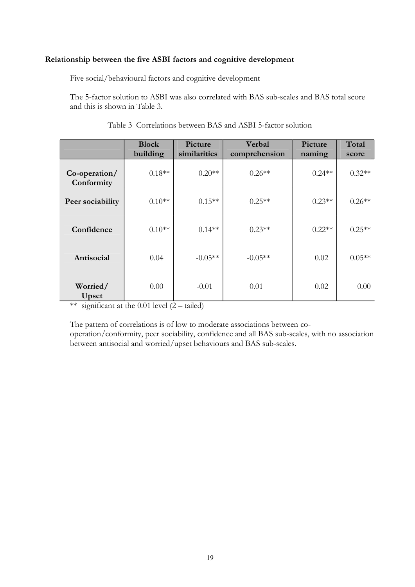#### **Relationship between the five ASBI factors and cognitive development**

Five social/behavioural factors and cognitive development

The 5-factor solution to ASBI was also correlated with BAS sub-scales and BAS total score and this is shown in Table 3.

|                             | <b>Block</b><br>building | Picture<br>similarities | Verbal<br>comprehension | Picture<br>naming | Total<br>score |
|-----------------------------|--------------------------|-------------------------|-------------------------|-------------------|----------------|
| Co-operation/<br>Conformity | $0.18**$                 | $0.20**$                | $0.26**$                | $0.24**$          | $0.32**$       |
| Peer sociability            | $0.10**$                 | $0.15**$                | $0.25**$                | $0.23**$          | $0.26**$       |
| Confidence                  | $0.10**$                 | $0.14**$                | $0.23**$                | $0.22**$          | $0.25**$       |
| Antisocial                  | 0.04                     | $-0.05**$               | $-0.05**$               | 0.02              | $0.05**$       |
| Worried/<br>Upset           | 0.00                     | $-0.01$                 | 0.01                    | 0.02              | 0.00           |

#### Table 3 Correlations between BAS and ASBI 5-factor solution

\*\* significant at the  $0.01$  level  $(2 - \text{tailed})$ 

The pattern of correlations is of low to moderate associations between co-

operation/conformity, peer sociability, confidence and all BAS sub-scales, with no association between antisocial and worried/upset behaviours and BAS sub-scales.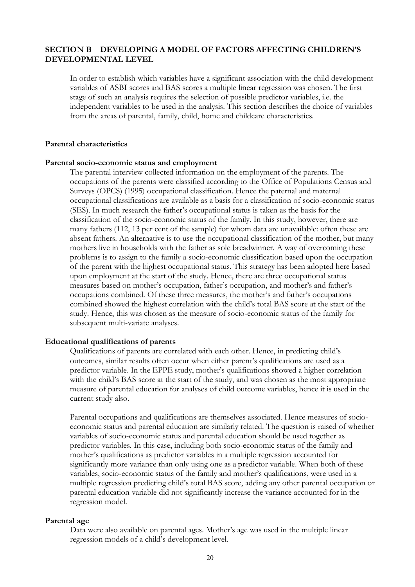#### **SECTION B DEVELOPING A MODEL OF FACTORS AFFECTING CHILDREN'S DEVELOPMENTAL LEVEL**

In order to establish which variables have a significant association with the child development variables of ASBI scores and BAS scores a multiple linear regression was chosen. The first stage of such an analysis requires the selection of possible predictor variables, i.e. the independent variables to be used in the analysis. This section describes the choice of variables from the areas of parental, family, child, home and childcare characteristics.

#### **Parental characteristics**

#### **Parental socio-economic status and employment**

The parental interview collected information on the employment of the parents. The occupations of the parents were classified according to the Office of Populations Census and Surveys (OPCS) (1995) occupational classification. Hence the paternal and maternal occupational classifications are available as a basis for a classification of socio-economic status (SES). In much research the father's occupational status is taken as the basis for the classification of the socio-economic status of the family. In this study, however, there are many fathers (112, 13 per cent of the sample) for whom data are unavailable: often these are absent fathers. An alternative is to use the occupational classification of the mother, but many mothers live in households with the father as sole breadwinner. A way of overcoming these problems is to assign to the family a socio-economic classification based upon the occupation of the parent with the highest occupational status. This strategy has been adopted here based upon employment at the start of the study. Hence, there are three occupational status measures based on mother's occupation, father's occupation, and mother's and father's occupations combined. Of these three measures, the mother's and father's occupations combined showed the highest correlation with the child's total BAS score at the start of the study. Hence, this was chosen as the measure of socio-economic status of the family for subsequent multi-variate analyses.

#### **Educational qualifications of parents**

Qualifications of parents are correlated with each other. Hence, in predicting child's outcomes, similar results often occur when either parent's qualifications are used as a predictor variable. In the EPPE study, mother's qualifications showed a higher correlation with the child's BAS score at the start of the study, and was chosen as the most appropriate measure of parental education for analyses of child outcome variables, hence it is used in the current study also.

Parental occupations and qualifications are themselves associated. Hence measures of socio economic status and parental education are similarly related. The question is raised of whether variables of socio-economic status and parental education should be used together as predictor variables. In this case, including both socio-economic status of the family and mother's qualifications as predictor variables in a multiple regression accounted for significantly more variance than only using one as a predictor variable. When both of these variables, socio-economic status of the family and mother's qualifications, were used in a multiple regression predicting child's total BAS score, adding any other parental occupation or parental education variable did not significantly increase the variance accounted for in the regression model.

#### **Parental age**

Data were also available on parental ages. Mother's age was used in the multiple linear regression models of a child's development level.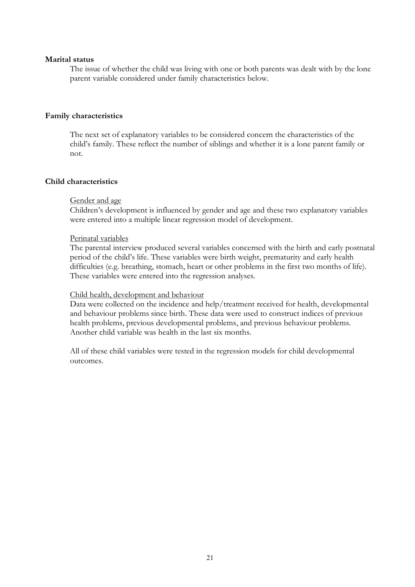#### **Marital status**

The issue of whether the child was living with one or both parents was dealt with by the lone parent variable considered under family characteristics below.

#### **Family characteristics**

The next set of explanatory variables to be considered concern the characteristics of the child's family. These reflect the number of siblings and whether it is a lone parent family or not.

#### **Child characteristics**

#### Gender and age

Children's development is influenced by gender and age and these two explanatory variables were entered into a multiple linear regression model of development.

#### Perinatal variables

The parental interview produced several variables concerned with the birth and early postnatal period of the child's life. These variables were birth weight, prematurity and early health difficulties (e.g. breathing, stomach, heart or other problems in the first two months of life). These variables were entered into the regression analyses.

#### Child health, development and behaviour

Data were collected on the incidence and help/treatment received for health, developmental and behaviour problems since birth. These data were used to construct indices of previous health problems, previous developmental problems, and previous behaviour problems. Another child variable was health in the last six months.

All of these child variables were tested in the regression models for child developmental outcomes.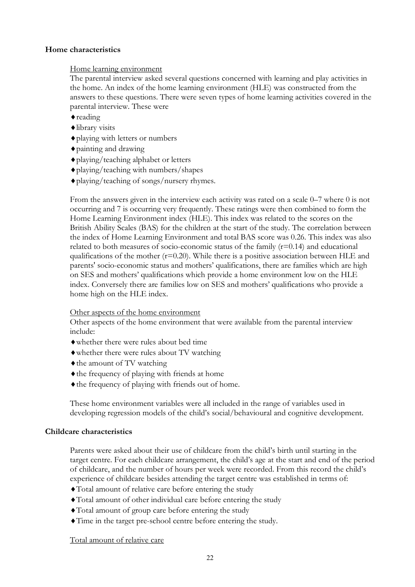#### **Home characteristics**

#### Home learning environment

The parental interview asked several questions concerned with learning and play activities in the home. An index of the home learning environment (HLE) was constructed from the answers to these questions. There were seven types of home learning activities covered in the parental interview. These were

- $\bullet$  reading
- ®library visits
- ®playing with letters or numbers
- $\bullet$  painting and drawing
- ®playing/teaching alphabet or letters
- ®playing/teaching with numbers/shapes
- ®playing/teaching of songs/nursery rhymes.

From the answers given in the interview each activity was rated on a scale 0–7 where 0 is not occurring and 7 is occurring very frequently. These ratings were then combined to form the Home Learning Environment index (HLE). This index was related to the scores on the British Ability Scales (BAS) for the children at the start of the study. The correlation between the index of Home Learning Environment and total BAS score was 0.26. This index was also related to both measures of socio-economic status of the family  $(r=0.14)$  and educational qualifications of the mother  $(r=0.20)$ . While there is a positive association between HLE and parents' socio-economic status and mothers' qualifications, there are families which are high on SES and mothers' qualifications which provide a home environment low on the HLE index. Conversely there are families low on SES and mothers' qualifications who provide a home high on the HLE index.

#### Other aspects of the home environment

Other aspects of the home environment that were available from the parental interview include:

- ®whether there were rules about bed time
- ®whether there were rules about TV watching
- $\bullet$  the amount of TV watching
- ®the frequency of playing with friends at home
- ®the frequency of playing with friends out of home.

These home environment variables were all included in the range of variables used in developing regression models of the child's social/behavioural and cognitive development.

#### **Childcare characteristics**

Parents were asked about their use of childcare from the child's birth until starting in the target centre. For each childcare arrangement, the child's age at the start and end of the period of childcare, and the number of hours per week were recorded. From this record the child's experience of childcare besides attending the target centre was established in terms of:

- ®Total amount of relative care before entering the study
- ®Total amount of other individual care before entering the study
- ®Total amount of group care before entering the study
- ®Time in the target pre-school centre before entering the study.

Total amount of relative care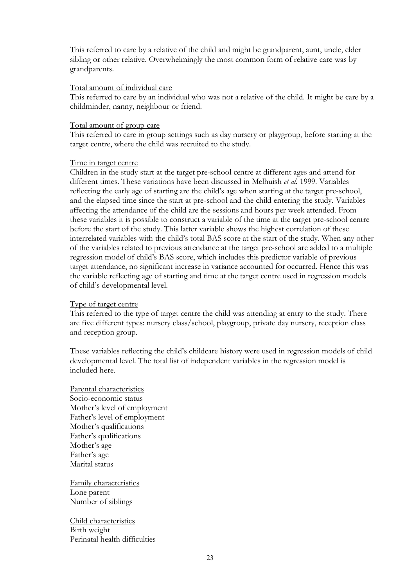This referred to care by a relative of the child and might be grandparent, aunt, uncle, elder sibling or other relative. Overwhelmingly the most common form of relative care was by grandparents.

#### Total amount of individual care

This referred to care by an individual who was not a relative of the child. It might be care by a childminder, nanny, neighbour or friend.

#### Total amount of group care

This referred to care in group settings such as day nursery or playgroup, before starting at the target centre, where the child was recruited to the study.

#### Time in target centre

Children in the study start at the target pre-school centre at different ages and attend for different times. These variations have been discussed in Melhuish *etal.* 1999. Variables reflecting the early age of starting are the child's age when starting at the target pre-school, and the elapsed time since the start at pre-school and the child entering the study. Variables affecting the attendance of the child are the sessions and hours per week attended. From these variables it is possible to construct a variable of the time at the target pre-school centre before the start of the study. This latter variable shows the highest correlation of these interrelated variables with the child's total BAS score at the start of the study. When any other of the variables related to previous attendance at the target pre-school are added to a multiple regression model of child's BAS score, which includes this predictor variable of previous target attendance, no significant increase in variance accounted for occurred. Hence this was the variable reflecting age of starting and time at the target centre used in regression models of child's developmental level.

#### Type of target centre

This referred to the type of target centre the child was attending at entry to the study. There are five different types: nursery class/school, playgroup, private day nursery, reception class and reception group.

These variables reflecting the child's childcare history were used in regression models of child developmental level. The total list of independent variables in the regression model is included here.

Parental characteristics Socio-economic status Mother's level of employment Father's level of employment Mother's qualifications Father's qualifications Mother's age Father's age Marital status

Family characteristics Lone parent Number of siblings

Child characteristics Birth weight Perinatal health difficulties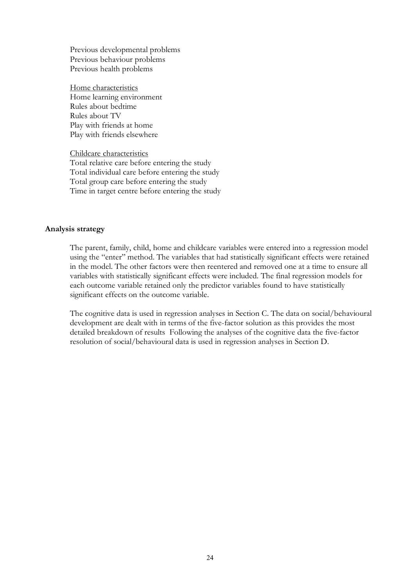Previous developmental problems Previous behaviour problems Previous health problems

Home characteristics Home learning environment Rules about bedtime Rules about TV Play with friends at home Play with friends elsewhere

Childcare characteristics

Total relative care before entering the study Total individual care before entering the study Total group care before entering the study Time in target centre before entering the study

#### **Analysis strategy**

The parent, family, child, home and childcare variables were entered into a regression model using the "enter" method. The variables that had statistically significant effects were retained in the model. The other factors were then reentered and removed one at a time to ensure all variables with statistically significant effects were included. The final regression models for each outcome variable retained only the predictor variables found to have statistically significant effects on the outcome variable.

The cognitive data is used in regression analyses in Section C. The data on social/behavioural development are dealt with in terms of the five-factor solution as this provides the most detailed breakdown of results Following the analyses of the cognitive data the five-factor resolution of social/behavioural data is used in regression analyses in Section D.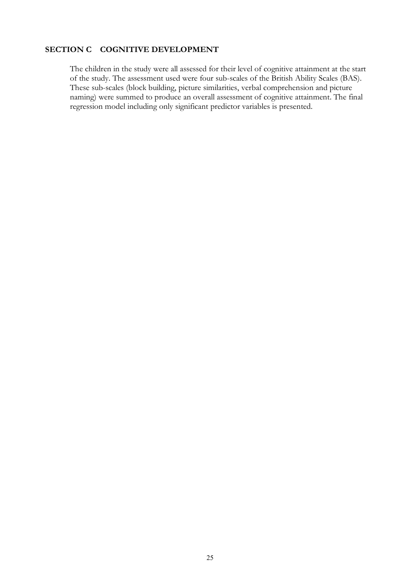#### **SECTION C COGNITIVE DEVELOPMENT**

The children in the study were all assessed for their level of cognitive attainment at the start of the study. The assessment used were four sub-scales of the British Ability Scales (BAS). These sub-scales (block building, picture similarities, verbal comprehension and picture naming) were summed to produce an overall assessment of cognitive attainment. The final regression model including only significant predictor variables is presented.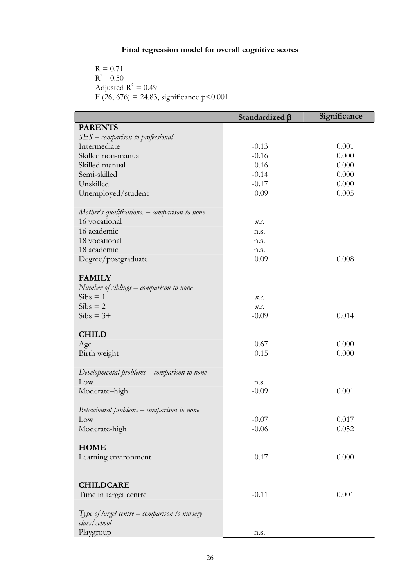#### **Final regression model for overall cognitive scores**

 $R = 0.71$  $R^2 = 0.50$ Adjusted  $R^2 = 0.49$ F (26, 676) = 24.83, significance p<0.001

|                                                                  | Standardized $\beta$ | Significance |
|------------------------------------------------------------------|----------------------|--------------|
| <b>PARENTS</b>                                                   |                      |              |
| $SES$ – comparison to professional                               |                      |              |
| Intermediate                                                     | $-0.13$              | 0.001        |
| Skilled non-manual                                               | $-0.16$              | 0.000        |
| Skilled manual                                                   | $-0.16$              | 0.000        |
| Semi-skilled                                                     | $-0.14$              | 0.000        |
| Unskilled                                                        | $-0.17$              | 0.000        |
| Unemployed/student                                               | $-0.09$              | 0.005        |
|                                                                  |                      |              |
| Mother's qualifications. $-$ comparison to none<br>16 vocational |                      |              |
| 16 academic                                                      | $n_{\cdot}$ s.       |              |
| 18 vocational                                                    | n.s.                 |              |
| 18 academic                                                      | n.s.                 |              |
| Degree/postgraduate                                              | n.s.<br>0.09         | 0.008        |
|                                                                  |                      |              |
| <b>FAMILY</b>                                                    |                      |              |
| Number of siblings – comparison to none                          |                      |              |
| $Sibs = 1$                                                       | $n_{\cdot}$          |              |
| $Sibs = 2$                                                       | n.s.                 |              |
| $Sibs = 3+$                                                      | $-0.09$              | 0.014        |
|                                                                  |                      |              |
| <b>CHILD</b>                                                     |                      |              |
| Age                                                              | 0.67                 | 0.000        |
| Birth weight                                                     | 0.15                 | 0.000        |
|                                                                  |                      |              |
| Developmental problems – comparison to none                      |                      |              |
| Low                                                              | n.s.                 |              |
| Moderate-high                                                    | $-0.09$              | 0.001        |
| Behavioural problems – comparison to none                        |                      |              |
| Low                                                              | $-0.07$              | 0.017        |
| Moderate-high                                                    | $-0.06$              | 0.052        |
|                                                                  |                      |              |
| <b>HOME</b>                                                      |                      |              |
| Learning environment                                             | 0.17                 | 0.000        |
|                                                                  |                      |              |
|                                                                  |                      |              |
| <b>CHILDCARE</b>                                                 |                      |              |
| Time in target centre                                            | $-0.11$              | 0.001        |
|                                                                  |                      |              |
| Type of target centre $-$ comparison to nursery                  |                      |              |
| class/school                                                     |                      |              |
| Playgroup                                                        | n.s.                 |              |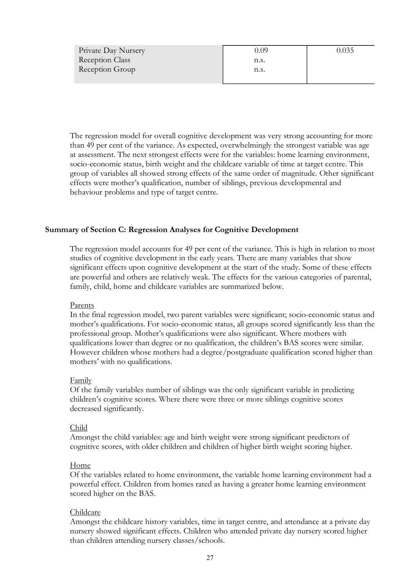| Private Day Nursery    | 0.09 | 0.035 |
|------------------------|------|-------|
| <b>Reception Class</b> | n.s. |       |
| Reception Group        | n.s. |       |
|                        |      |       |

The regression model for overall cognitive development was very strong accounting for more than 49 per cent of the variance. As expected, overwhelmingly the strongest variable was age at assessment. The next strongest effects were for the variables: home learning environment, socio-economic status, birth weight and the childcare variable of time at target centre. This group of variables all showed strong effects of the same order of magnitude. Other significant effects were mother's qualification, number of siblings, previous developmental and behaviour problems and type of target centre.

#### **Summary of Section C: Regression Analyses for Cognitive Development**

The regression model accounts for 49 per cent of the variance. This is high in relation to most studies of cognitive development in the early years. There are many variables that show significant effects upon cognitive development at the start of the study. Some of these effects are powerful and others are relatively weak. The effects for the various categories of parental, family, child, home and childcare variables are summarized below.

#### Parents

In the final regression model, two parent variables were significant; socio-economic status and mother's qualifications. For socio-economic status, all groups scored significantly less than the professional group. Mother's qualifications were also significant. Where mothers with qualifications lower than degree or no qualification, the children's BAS scores were similar. However children whose mothers had a degree/postgraduate qualification scored higher than mothers' with no qualifications.

#### Family

Of the family variables number of siblings was the only significant variable in predicting children's cognitive scores. Where there were three or more siblings cognitive scores decreased significantly.

#### Child

Amongst the child variables: age and birth weight were strong significant predictors of cognitive scores, with older children and children of higher birth weight scoring higher. Home

Of the variables related to home environment, the variable home learning environment had a powerful effect. Children from homes rated as having a greater home learning environment scored higher on the BAS.

#### Childcare

Amongst the childcare history variables, time in target centre, and attendance at a private day nursery showed significant effects. Children who attended private day nursery scored higher than children attending nursery classes/schools.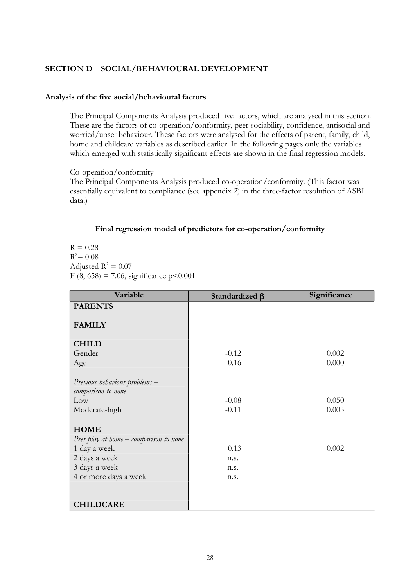#### **SECTION D SOCIAL/BEHAVIOURAL DEVELOPMENT**

#### **Analysis of the five social/behavioural factors**

The Principal Components Analysis produced five factors, which are analysed in this section. These are the factors of co-operation/conformity, peer sociability, confidence, antisocial and worried/upset behaviour. These factors were analysed for the effects of parent, family, child, home and childcare variables as described earlier. In the following pages only the variables which emerged with statistically significant effects are shown in the final regression models.

#### Co-operation/conformity

The Principal Components Analysis produced co-operation/conformity. (This factor was essentially equivalent to compliance (see appendix 2) in the three-factor resolution of ASBI data.)

#### **Final regression model of predictors for co-operation/conformity**

 $R = 0.28$  $R^2 = 0.08$ Adjusted  $R^2 = 0.07$ F (8, 658) = 7.06, significance  $p < 0.001$ 

| Variable                               | Standardized $\beta$ | Significance |
|----------------------------------------|----------------------|--------------|
| <b>PARENTS</b>                         |                      |              |
| <b>FAMILY</b>                          |                      |              |
| <b>CHILD</b>                           |                      |              |
| Gender                                 | $-0.12$              | 0.002        |
| Age                                    | 0.16                 | 0.000        |
|                                        |                      |              |
| Previous behaviour problems –          |                      |              |
| comparison to none                     |                      |              |
| Low                                    | $-0.08$              | 0.050        |
| Moderate-high                          | $-0.11$              | 0.005        |
|                                        |                      |              |
| <b>HOME</b>                            |                      |              |
| Peer play at home – comparison to none |                      |              |
| 1 day a week                           | 0.13                 | 0.002        |
| 2 days a week                          | n.s.                 |              |
| 3 days a week                          | n.s.                 |              |
| 4 or more days a week                  | n.s.                 |              |
|                                        |                      |              |
|                                        |                      |              |
| <b>CHILDCARE</b>                       |                      |              |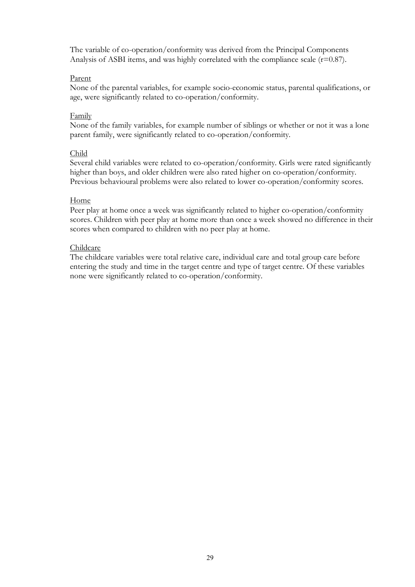The variable of co-operation/conformity was derived from the Principal Components Analysis of ASBI items, and was highly correlated with the compliance scale  $(r=0.87)$ .

#### Parent

None of the parental variables, for example socio-economic status, parental qualifications, or age, were significantly related to co-operation/conformity.

#### Family

None of the family variables, for example number of siblings or whether or not it was a lone parent family, were significantly related to co-operation/conformity.

#### Child

Several child variables were related to co-operation/conformity. Girls were rated significantly higher than boys, and older children were also rated higher on co-operation/conformity. Previous behavioural problems were also related to lower co-operation/conformity scores.

#### Home

Peer play at home once a week was significantly related to higher co-operation/conformity scores. Children with peer play at home more than once a week showed no difference in their scores when compared to children with no peer play at home.

#### Childcare

The childcare variables were total relative care, individual care and total group care before entering the study and time in the target centre and type of target centre. Of these variables none were significantly related to co-operation/conformity.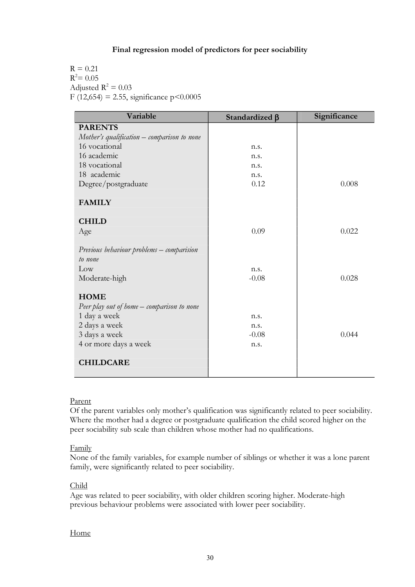#### **Final regression model of predictors for peer sociability**

 $R = 0.21$  $R^2 = 0.05$ Adjusted  $R^2 = 0.03$ F (12,654) = 2.55, significance  $p < 0.0005$ 

| Variable                                                                     | Standardized $\beta$ | Significance |
|------------------------------------------------------------------------------|----------------------|--------------|
| <b>PARENTS</b>                                                               |                      |              |
| Mother's qualification $-$ comparison to none                                |                      |              |
| 16 vocational                                                                | n.s.                 |              |
| 16 academic                                                                  | n.s.                 |              |
| 18 vocational                                                                | n.s.                 |              |
| 18 academic                                                                  | n.s.                 |              |
| Degree/postgraduate                                                          | 0.12                 | 0.008        |
| <b>FAMILY</b>                                                                |                      |              |
| <b>CHILD</b>                                                                 |                      |              |
| Age                                                                          | 0.09                 | 0.022        |
| Previous behaviour problems - comparision<br>to none<br>Low<br>Moderate-high | n.s.<br>$-0.08$      | 0.028        |
| <b>HOME</b>                                                                  |                      |              |
| Peer play out of home – comparison to none                                   |                      |              |
| 1 day a week                                                                 | n.s.                 |              |
| 2 days a week                                                                | n.s.                 |              |
| 3 days a week                                                                | $-0.08$              | 0.044        |
| 4 or more days a week                                                        | n.s.                 |              |
| <b>CHILDCARE</b>                                                             |                      |              |

#### Parent

Of the parent variables only mother's qualification was significantly related to peer sociability. Where the mother had a degree or postgraduate qualification the child scored higher on the peer sociability sub scale than children whose mother had no qualifications.

#### Family

None of the family variables, for example number of siblings or whether it was a lone parent family, were significantly related to peer sociability.

#### Child

Age was related to peer sociability, with older children scoring higher. Moderate-high previous behaviour problems were associated with lower peer sociability.

#### Home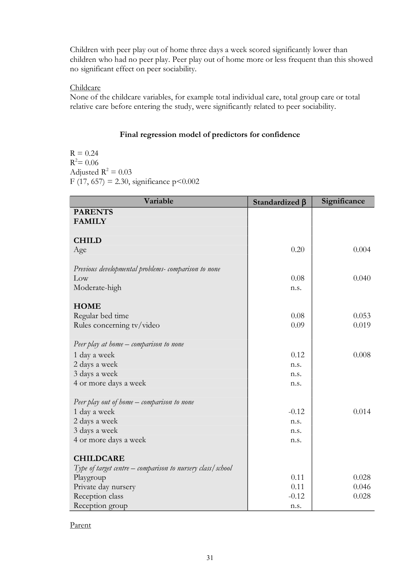Children with peer play out of home three days a week scored significantly lower than children who had no peer play. Peer play out of home more or less frequent than this showed no significant effect on peer sociability.

#### Childcare

None of the childcare variables, for example total individual care, total group care or total relative care before entering the study, were significantly related to peer sociability.

#### **Final regression model of predictors for confidence**

 $R = 0.24$  $R^2 = 0.06$ Adjusted  $R^2 = 0.03$ F (17, 657) = 2.30, significance p<0.002

| Variable                                                     | Standardized β | Significance |
|--------------------------------------------------------------|----------------|--------------|
| <b>PARENTS</b>                                               |                |              |
| <b>FAMILY</b>                                                |                |              |
| <b>CHILD</b>                                                 |                |              |
| Age                                                          | 0.20           | 0.004        |
|                                                              |                |              |
| Previous developmental problems-comparison to none           |                |              |
| Low                                                          | 0.08           | 0.040        |
| Moderate-high                                                | n.s.           |              |
| <b>HOME</b>                                                  |                |              |
| Regular bed time                                             | 0.08           | 0.053        |
| Rules concerning tv/video                                    | 0.09           | 0.019        |
|                                                              |                |              |
| Peer play at home – comparison to none                       |                |              |
| 1 day a week                                                 | 0.12           | 0.008        |
| 2 days a week                                                | n.s.           |              |
| 3 days a week                                                | n.s.           |              |
| 4 or more days a week                                        | n.s.           |              |
| Peer play out of home – comparison to none                   |                |              |
| 1 day a week                                                 | $-0.12$        | 0.014        |
| 2 days a week                                                | n.s.           |              |
| 3 days a week                                                | n.s.           |              |
| 4 or more days a week                                        | n.s.           |              |
|                                                              |                |              |
| <b>CHILDCARE</b>                                             |                |              |
| Type of target centre $-$ comparison to nursery class/school |                |              |
| Playgroup                                                    | 0.11           | 0.028        |
| Private day nursery                                          | 0.11           | 0.046        |
| Reception class                                              | $-0.12$        | 0.028        |
| Reception group                                              | n.s.           |              |

Parent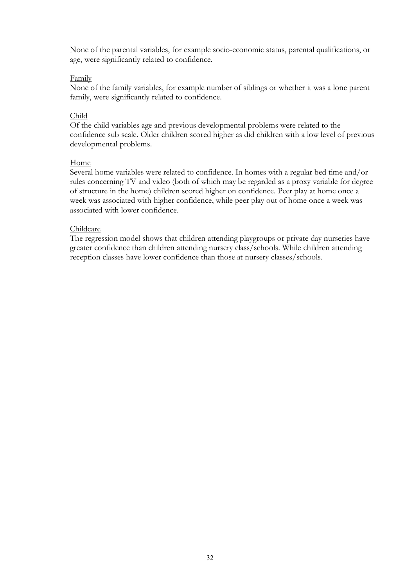None of the parental variables, for example socio-economic status, parental qualifications, or age, were significantly related to confidence.

#### Family

None of the family variables, for example number of siblings or whether it was a lone parent family, were significantly related to confidence.

#### Child

Of the child variables age and previous developmental problems were related to the confidence sub scale. Older children scored higher as did children with a low level of previous developmental problems.

#### Home

Several home variables were related to confidence. In homes with a regular bed time and/or rules concerning TV and video (both of which may be regarded as a proxy variable for degree of structure in the home) children scored higher on confidence. Peer play at home once a week was associated with higher confidence, while peer play out of home once a week was associated with lower confidence.

#### Childcare

The regression model shows that children attending playgroups or private day nurseries have greater confidence than children attending nursery class/schools. While children attending reception classes have lower confidence than those at nursery classes/schools.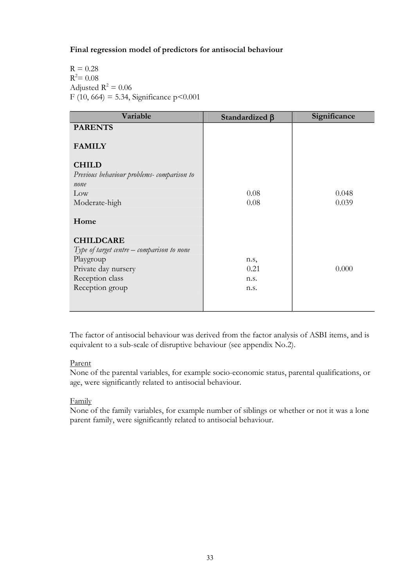#### **Final regression model of predictors for antisocial behaviour**

 $R = 0.28$  $R^2 = 0.08$ Adjusted  $R^2 = 0.06$ F (10, 664) = 5.34, Significance  $p < 0.001$ 

| Variable                                     | Standardized $\beta$ | Significance |
|----------------------------------------------|----------------------|--------------|
| <b>PARENTS</b>                               |                      |              |
| <b>FAMILY</b>                                |                      |              |
| <b>CHILD</b>                                 |                      |              |
| Previous behaviour problems-comparison to    |                      |              |
| none                                         |                      |              |
| Low                                          | 0.08                 | 0.048        |
| Moderate-high                                | 0.08                 | 0.039        |
| Home                                         |                      |              |
| <b>CHILDCARE</b>                             |                      |              |
| Type of target centre $-$ comparison to none |                      |              |
| Playgroup                                    | n.s,                 |              |
| Private day nursery                          | 0.21                 | 0.000        |
| Reception class                              | n.s.                 |              |
| Reception group                              | n.s.                 |              |
|                                              |                      |              |
|                                              |                      |              |

The factor of antisocial behaviour was derived from the factor analysis of ASBI items, and is equivalent to a sub-scale of disruptive behaviour (see appendix No.2).

#### Parent

None of the parental variables, for example socio-economic status, parental qualifications, or age, were significantly related to antisocial behaviour.

#### Family

None of the family variables, for example number of siblings or whether or not it was a lone parent family, were significantly related to antisocial behaviour.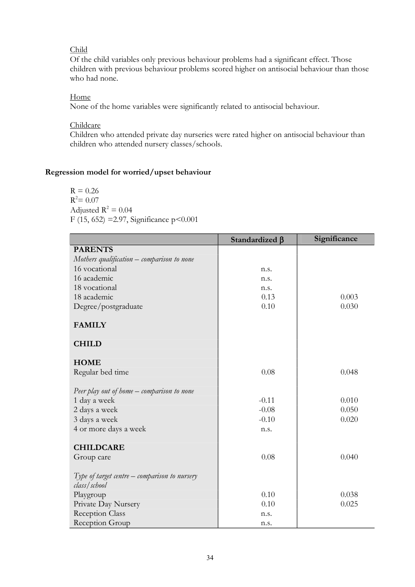#### Child

Of the child variables only previous behaviour problems had a significant effect. Those children with previous behaviour problems scored higher on antisocial behaviour than those who had none.

#### Home

None of the home variables were significantly related to antisocial behaviour.

#### Childcare

Children who attended private day nurseries were rated higher on antisocial behaviour than children who attended nursery classes/schools.

#### **Regression model for worried/upset behaviour**

 $R = 0.26$  $R^2 = 0.07$ Adjusted  $R^2 = 0.04$ F (15, 652) =2.97, Significance p<0.001

|                                                                 | Standardized β | Significance |
|-----------------------------------------------------------------|----------------|--------------|
| <b>PARENTS</b>                                                  |                |              |
| Mothers qualification - comparison to none                      |                |              |
| 16 vocational                                                   | n.s.           |              |
| 16 academic                                                     | n.s.           |              |
| 18 vocational                                                   | n.s.           |              |
| 18 academic                                                     | 0.13           | 0.003        |
| Degree/postgraduate                                             | 0.10           | 0.030        |
| <b>FAMILY</b>                                                   |                |              |
| <b>CHILD</b>                                                    |                |              |
| <b>HOME</b>                                                     |                |              |
| Regular bed time                                                | 0.08           | 0.048        |
| Peer play out of home – comparison to none                      |                |              |
| 1 day a week                                                    | $-0.11$        | 0.010        |
| 2 days a week                                                   | $-0.08$        | 0.050        |
| 3 days a week                                                   | $-0.10$        | 0.020        |
| 4 or more days a week                                           | n.s.           |              |
| <b>CHILDCARE</b>                                                |                |              |
| Group care                                                      | 0.08           | 0.040        |
| Type of target centre $-$ comparison to nursery<br>class/school |                |              |
| Playgroup                                                       | 0.10           | 0.038        |
| Private Day Nursery                                             | 0.10           | 0.025        |
| Reception Class                                                 | n.s.           |              |
| Reception Group                                                 | n.s.           |              |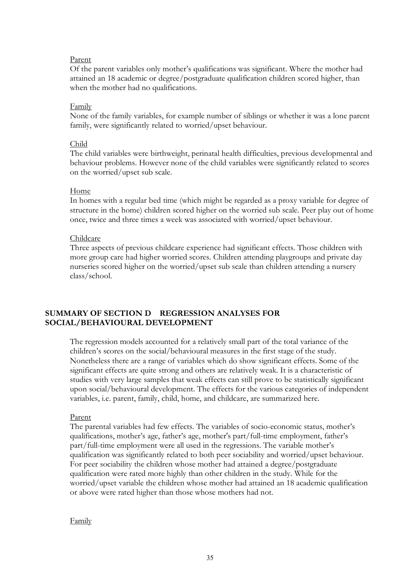#### Parent

Of the parent variables only mother's qualifications was significant. Where the mother had attained an 18 academic or degree/postgraduate qualification children scored higher, than when the mother had no qualifications.

#### Family

None of the family variables, for example number of siblings or whether it was a lone parent family, were significantly related to worried/upset behaviour.

#### Child

The child variables were birthweight, perinatal health difficulties, previous developmental and behaviour problems. However none of the child variables were significantly related to scores on the worried/upset sub scale.

#### Home

In homes with a regular bed time (which might be regarded as a proxy variable for degree of structure in the home) children scored higher on the worried sub scale. Peer play out of home once, twice and three times a week was associated with worried/upset behaviour.

#### Childcare

Three aspects of previous childcare experience had significant effects. Those children with more group care had higher worried scores. Children attending playgroups and private day nurseries scored higher on the worried/upset sub scale than children attending a nursery class/school.

#### **SUMMARY OF SECTION D REGRESSION ANALYSES FOR SOCIAL/BEHAVIOURAL DEVELOPMENT**

The regression models accounted for a relatively small part of the total variance of the children's scores on the social/behavioural measures in the first stage of the study. Nonetheless there are a range of variables which do show significant effects. Some of the significant effects are quite strong and others are relatively weak. It is a characteristic of studies with very large samples that weak effects can still prove to be statistically significant upon social/behavioural development. The effects for the various categories of independent variables, i.e. parent, family, child, home, and childcare, are summarized here.

#### Parent

The parental variables had few effects. The variables of socio-economic status, mother's qualifications, mother's age, father's age, mother's part/full-time employment, father's part/full-time employment were all used in the regressions. The variable mother's qualification was significantly related to both peer sociability and worried/upset behaviour. For peer sociability the children whose mother had attained a degree/postgraduate qualification were rated more highly than other children in the study. While for the worried/upset variable the children whose mother had attained an 18 academic qualification or above were rated higher than those whose mothers had not.

#### **Family**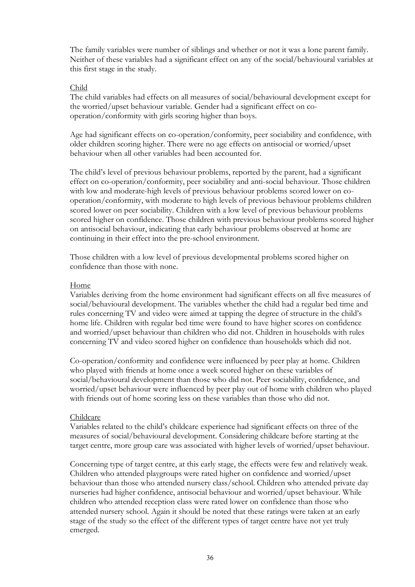The family variables were number of siblings and whether or not it was a lone parent family. Neither of these variables had a significant effect on any of the social/behavioural variables at this first stage in the study.

#### Child

The child variables had effects on all measures of social/behavioural development except for the worried/upset behaviour variable. Gender had a significant effect on co operation/conformity with girls scoring higher than boys.

Age had significant effects on co-operation/conformity, peer sociability and confidence, with older children scoring higher. There were no age effects on antisocial or worried/upset behaviour when all other variables had been accounted for.

The child's level of previous behaviour problems, reported by the parent, had a significant effect on co-operation/conformity, peer sociability and anti-social behaviour. Those children with low and moderate-high levels of previous behaviour problems scored lower on co operation/conformity, with moderate to high levels of previous behaviour problems children scored lower on peer sociability. Children with a low level of previous behaviour problems scored higher on confidence. Those children with previous behaviour problems scored higher on antisocial behaviour, indicating that early behaviour problems observed at home are continuing in their effect into the pre-school environment.

Those children with a low level of previous developmental problems scored higher on confidence than those with none.

#### Home

Variables deriving from the home environment had significant effects on all five measures of social/behavioural development. The variables whether the child had a regular bed time and rules concerning TV and video were aimed at tapping the degree of structure in the child's home life. Children with regular bed time were found to have higher scores on confidence and worried/upset behaviour than children who did not. Children in households with rules concerning TV and video scored higher on confidence than households which did not.

Co-operation/conformity and confidence were influenced by peer play at home. Children who played with friends at home once a week scored higher on these variables of social/behavioural development than those who did not. Peer sociability, confidence, and worried/upset behaviour were influenced by peer play out of home with children who played with friends out of home scoring less on these variables than those who did not.

#### Childcare

Variables related to the child's childcare experience had significant effects on three of the measures of social/behavioural development. Considering childcare before starting at the target centre, more group care was associated with higher levels of worried/upset behaviour.

Concerning type of target centre, at this early stage, the effects were few and relatively weak. Children who attended playgroups were rated higher on confidence and worried/upset behaviour than those who attended nursery class/school. Children who attended private day nurseries had higher confidence, antisocial behaviour and worried/upset behaviour. While children who attended reception class were rated lower on confidence than those who attended nursery school. Again it should be noted that these ratings were taken at an early stage of the study so the effect of the different types of target centre have not yet truly emerged.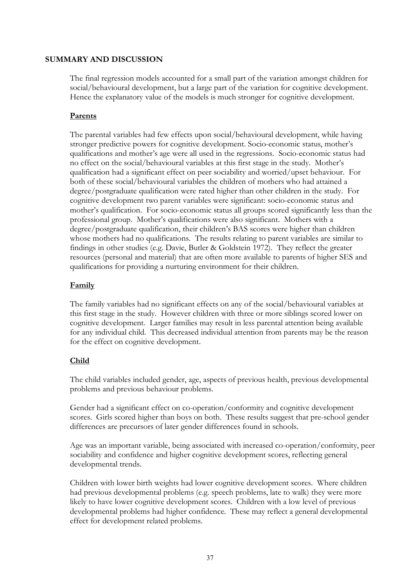#### **SUMMARY AND DISCUSSION**

The final regression models accounted for a small part of the variation amongst children for social/behavioural development, but a large part of the variation for cognitive development. Hence the explanatory value of the models is much stronger for cognitive development.

#### **Parents**

The parental variables had few effects upon social/behavioural development, while having stronger predictive powers for cognitive development. Socio-economic status, mother's qualifications and mother's age were all used in the regressions. Socio-economic status had no effect on the social/behavioural variables at this first stage in the study. Mother's qualification had a significant effect on peer sociability and worried/upset behaviour. For both of these social/behavioural variables the children of mothers who had attained a degree/postgraduate qualification were rated higher than other children in the study. For cognitive development two parent variables were significant: socio-economic status and mother's qualification. For socio-economic status all groups scored significantly less than the professional group. Mother's qualifications were also significant. Mothers with a degree/postgraduate qualification, their children's BAS scores were higher than children whose mothers had no qualifications. The results relating to parent variables are similar to findings in other studies (e.g. Davie, Butler & Goldstein 1972). They reflect the greater resources (personal and material) that are often more available to parents of higher SES and qualifications for providing a nurturing environment for their children.

#### **Family**

The family variables had no significant effects on any of the social/behavioural variables at this first stage in the study. However children with three or more siblings scored lower on cognitive development. Larger families may result in less parental attention being available for any individual child. This decreased individual attention from parents may be the reason for the effect on cognitive development.

#### **Child**

The child variables included gender, age, aspects of previous health, previous developmental problems and previous behaviour problems.

Gender had a significant effect on co-operation/conformity and cognitive development scores. Girls scored higher than boys on both. These results suggest that pre-school gender differences are precursors of later gender differences found in schools.

Age was an important variable, being associated with increased co-operation/conformity, peer sociability and confidence and higher cognitive development scores, reflecting general developmental trends.

Children with lower birth weights had lower cognitive development scores. Where children had previous developmental problems (e.g. speech problems, late to walk) they were more likely to have lower cognitive development scores. Children with a low level of previous developmental problems had higher confidence. These may reflect a general developmental effect for development related problems.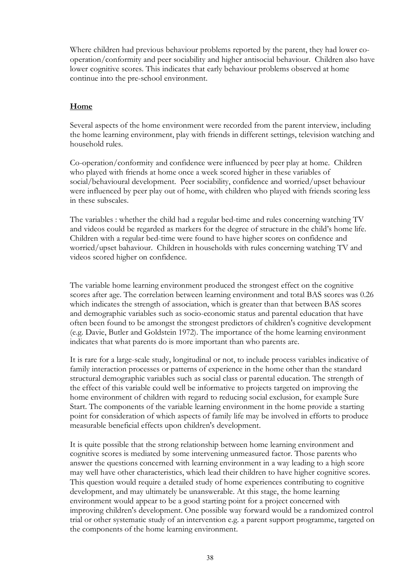Where children had previous behaviour problems reported by the parent, they had lower co operation/conformity and peer sociability and higher antisocial behaviour. Children also have lower cognitive scores. This indicates that early behaviour problems observed at home continue into the pre-school environment.

#### **Home**

Several aspects of the home environment were recorded from the parent interview, including the home learning environment, play with friends in different settings, television watching and household rules.

Co-operation/conformity and confidence were influenced by peer play at home. Children who played with friends at home once a week scored higher in these variables of social/behavioural development. Peer sociability, confidence and worried/upset behaviour were influenced by peer play out of home, with children who played with friends scoring less in these subscales.

The variables : whether the child had a regular bed-time and rules concerning watching TV and videos could be regarded as markers for the degree of structure in the child's home life. Children with a regular bed-time were found to have higher scores on confidence and worried/upset bahaviour. Children in households with rules concerning watching TV and videos scored higher on confidence.

The variable home learning environment produced the strongest effect on the cognitive scores after age. The correlation between learning environment and total BAS scores was 0.26 which indicates the strength of association, which is greater than that between BAS scores and demographic variables such as socio-economic status and parental education that have often been found to be amongst the strongest predictors of children's cognitive development (e.g. Davie, Butler and Goldstein 1972). The importance of the home learning environment indicates that what parents do is more important than who parents are.

It is rare for a large-scale study, longitudinal or not, to include process variables indicative of family interaction processes or patterns of experience in the home other than the standard structural demographic variables such as social class or parental education. The strength of the effect of this variable could well be informative to projects targeted on improving the home environment of children with regard to reducing social exclusion, for example Sure Start. The components of the variable learning environment in the home provide a starting point for consideration of which aspects of family life may be involved in efforts to produce measurable beneficial effects upon children's development.

It is quite possible that the strong relationship between home learning environment and cognitive scores is mediated by some intervening unmeasured factor. Those parents who answer the questions concerned with learning environment in a way leading to a high score may well have other characteristics, which lead their children to have higher cognitive scores. This question would require a detailed study of home experiences contributing to cognitive development, and may ultimately be unanswerable. At this stage, the home learning environment would appear to be a good starting point for a project concerned with improving children's development. One possible way forward would be a randomized control trial or other systematic study of an intervention e.g. a parent support programme, targeted on the components of the home learning environment.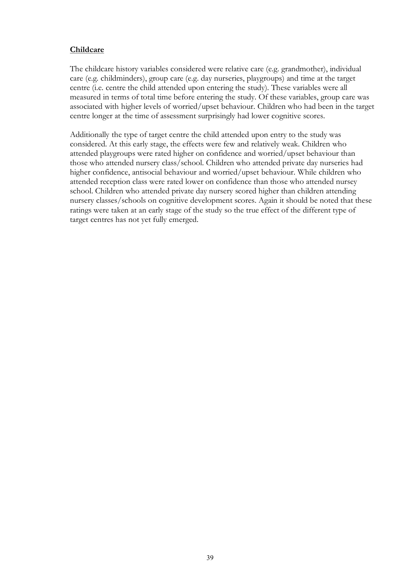#### **Childcare**

The childcare history variables considered were relative care (e.g. grandmother), individual care (e.g. childminders), group care (e.g. day nurseries, playgroups) and time at the target centre (i.e. centre the child attended upon entering the study). These variables were all measured in terms of total time before entering the study. Of these variables, group care was associated with higher levels of worried/upset behaviour. Children who had been in the target centre longer at the time of assessment surprisingly had lower cognitive scores.

Additionally the type of target centre the child attended upon entry to the study was considered. At this early stage, the effects were few and relatively weak. Children who attended playgroups were rated higher on confidence and worried/upset behaviour than those who attended nursery class/school. Children who attended private day nurseries had higher confidence, antisocial behaviour and worried/upset behaviour. While children who attended reception class were rated lower on confidence than those who attended nursey school. Children who attended private day nursery scored higher than children attending nursery classes/schools on cognitive development scores. Again it should be noted that these ratings were taken at an early stage of the study so the true effect of the different type of target centres has not yet fully emerged.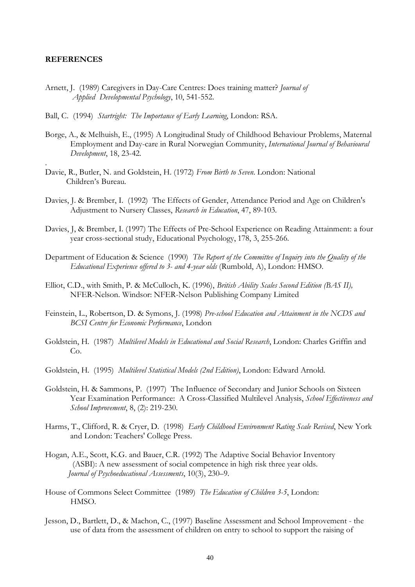#### **REFERENCES**

- Arnett, J. (1989) Caregivers in Day-Care Centres: Does training matter? *Journal of Applied Developmental Psychology*, 10, 541-552.
- Ball, C. (1994) *Startright: The Importance of Early Learning*, London: RSA.
- Borge, A., & Melhuish, E., (1995) A Longitudinal Study of Childhood Behaviour Problems, Maternal Employment and Day-care in Rural Norwegian Community, *International Journal of Behavioural Development*, 18, 23-42.
- . Davie, R., Butler, N. and Goldstein, H. (1972) *From Birth to Seven*. London: National
- Children's Bureau.<br>Davies, J. & Brember, I. (1992) The Effects of Gender, Attendance Period and Age on Children's<br>Adjustment to Nursery Classes, Research in Education, 47, 89-103.
- Davies, J, & Brember, I. (1997) The Effects of Pre-School Experience on Reading Attainment: a four vear cross-sectional study, Educational Psychology, 178, 3, 255-266.
- Department of Education & Science (1990) The Report of the Committee of Inquiry into the Quality of the *Educational Experience offered to 3- and 4-year olds* (Rumbold, A), London: HMSO.
- Elliot, C.D., with Smith, P. & McCulloch, K. (1996), *British Ability Scales Second Edition (BAS II),* NFER-Nelson. Windsor: NFER-Nelson Publishing Company Limited
- Feinstein, L., Robertson, D. & Symons, J. (1998) *Pre-school Education and Attainment in the NCDS and BCSI Centre for Economic Performance*, London
- Goldstein, H. (1987) *Multilevel Models in Educational and Social Research*, London: Charles Griffin and Co. Goldstein, H. (1995) *Multilevel Statistical Models (2nd Edition)*, London: Edward Arnold.
- 
- Goldstein, H. & Sammons, P. (1997) The Influence of Secondary and Junior Schools on Sixteen Year Examination Performance: A Cross-Classified Multilevel Analysis, *School Effectiveness and School Improvement*, 8, (2): 219-230. Harms, T., Clifford, R. & Cryer, D. (1998) *Early Childhood Environment Rating Scale Revised*, New York
- and London: Teachers' College Press. Hogan, A.E., Scott, K.G. and Bauer, C.R. (1992) The Adaptive Social Behavior Inventory
- (ASBI): A new assessment of social competence in high risk three year olds. *Journal of Psychoeducational Assessments*, 10(3), 230–9. House of Commons Select Committee (1989) *The Education of Children 3-5*, London:
- HMSO.
- Jesson, D., Bartlett, D., & Machon, C., (1997) Baseline Assessment and School Improvement the use of data from the assessment of children on entry to school to support the raising of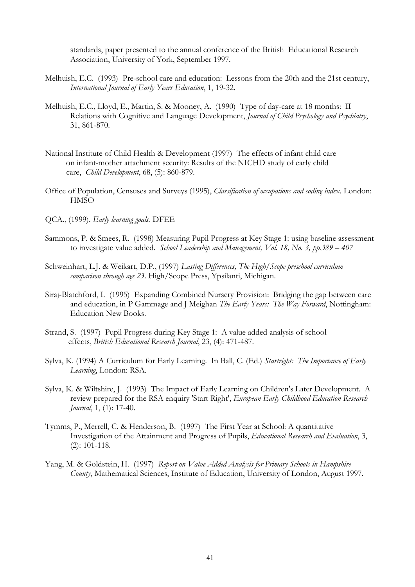standards, paper presented to the annual conference of the British Educational Research

- Melhuish, E.C. (1993) Pre-school care and education: Lessons from the 20th and the 21st century,<br>International Journal of Early Years Education, 1, 19-32.
- *Melhuish, E.C., Lloyd, E., Martin, S. & Mooney, A. (1990) Type of day-care at 18 months: II* Relations with Cognitive and Language Development, *Journal of Child Psychology and Psychiatry*, 31, 861-870.
- National Institute of Child Health & Development (1997) The effects of infant child care on infant-mother attachment security: Results of the NICHD study of early child care, *Child Development*, 68, (5): 860-879. Office of Population, Censuses and Surveys (1995), *Classification of occupations and coding index.* London:
- **HMSO**
- QCA., (1999). *Early learning goals.* DFEE
- Sammons, P. & Smees, R. (1998) Measuring Pupil Progress at Key Stage 1: using baseline assessment to investigate value added. *School Leadership and Management, Vol. 18, No. 3, pp.389 – 407*
- Schweinhart, L.J. & Weikart, D.P., (1997) *Lasting Differences, The High/Scope preschool curriculum comparison through age 23*. High/Scope Press, Ypsilanti, Michigan.
- Siraj-Blatchford, I. (1995) Expanding Combined Nursery Provision: Bridging the gap between care and education, in P Gammage and J Meighan *The Early Years: The Way Forward*, Nottingham: Education New Books.
- Strand, S. (1997) Pupil Progress during Key Stage 1: A value added analysis of school effects, *British Educational Research Journal*, 23, (4): 471-487.
- Sylva, K. (1994) A Curriculum forEarly Learning. In Ball, C. (Ed.) *Startright: The Importance of Early Learning*, London: RSA.
- Sylva, K. & Wiltshire, J. (1993) The Impact of Early Learning on Children's Later Development. A review prepared for the RSA enquiry 'Start Right', *European Early Childhood Education Research Journal*, 1, (1): 17-40.
- Tymms, P., Merrell, C. & Henderson, B. (1997) The First Year at School: A quantitative Investigation of the Attainment and Progress of Pupils, *Educational Research and Evaluation*, 3, (2): 101-118.
- Yang, M. & Goldstein, H. (1997) *Report on Value Added Analysis for Primary Schools in Hampshire County*, Mathematical Sciences, Institute of Education, University of London, August 1997.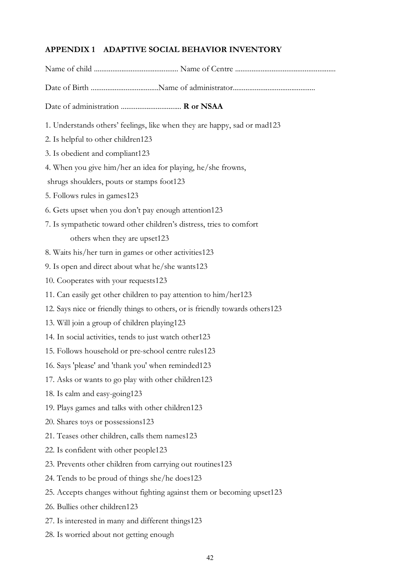### **APPENDIX 1 ADAPTIVE SOCIAL BEHAVIOR INVENTORY**

| Date of administration  R or NSAA                                            |
|------------------------------------------------------------------------------|
| 1. Understands others' feelings, like when they are happy, sad or mad123     |
| 2. Is helpful to other children123                                           |
| 3. Is obedient and compliant123                                              |
| 4. When you give him/her an idea for playing, he/she frowns,                 |
| shrugs shoulders, pouts or stamps foot123                                    |
| 5. Follows rules in games123                                                 |
| 6. Gets upset when you don't pay enough attention123                         |
| 7. Is sympathetic toward other children's distress, tries to comfort         |
| others when they are upset123                                                |
| 8. Waits his/her turn in games or other activities123                        |
| 9. Is open and direct about what he/she wants123                             |
| 10. Cooperates with your requests123                                         |
| 11. Can easily get other children to pay attention to him/her123             |
| 12. Says nice or friendly things to others, or is friendly towards others123 |
| 13. Will join a group of children playing123                                 |
| 14. In social activities, tends to just watch other 123                      |
| 15. Follows household or pre-school centre rules123                          |
| 16. Says 'please' and 'thank you' when reminded123                           |
| 17. Asks or wants to go play with other children123                          |
| 18. Is calm and easy-going123                                                |
| 19. Plays games and talks with other children123                             |
| 20. Shares toys or possessions123                                            |
| 21. Teases other children, calls them names123                               |
| 22. Is confident with other people123                                        |
| 23. Prevents other children from carrying out routines123                    |
| 24. Tends to be proud of things she/he does123                               |
| 25. Accepts changes without fighting against them or becoming upset123       |
| 26. Bullies other children123                                                |

- 27. Is interested in many and different things123
- 28. Is worried about not getting enough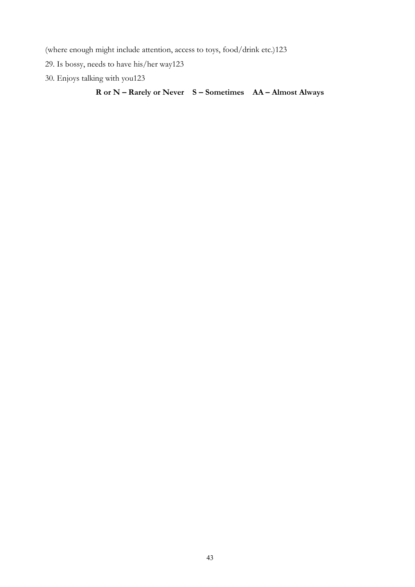(where enough might include attention, access to toys, food/drink etc.)123

- 29. Is bossy, needs to have his/her way123
- 30. Enjoys talking with you123

### **R or N – Rarely or Never S – Sometimes AA – Almost Always**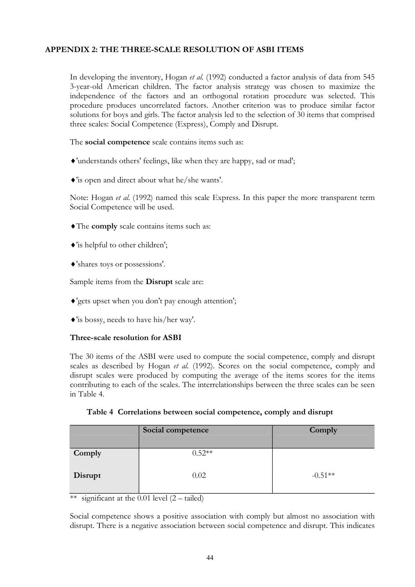#### **APPENDIX 2: THE THREE-SCALE RESOLUTION OF ASBI ITEMS**

In developing the inventory, Hogan *etal.* (1992) conducted a factor analysis of data from 545 3-year-old American children. The factor analysis strategy was chosen to maximize the independence of the factors and an orthogonal rotation procedure was selected. This procedure produces uncorrelated factors. Another criterion was to produce similar factor solutions for boys and girls. The factor analysis led to the selection of 30 items that comprised three scales: Social Competence (Express), Comply and Disrupt.

The **social competence** scale contains items such as:

- ®'understands others' feelings, like when they are happy, sad or mad';
- ®'is open and direct about what he/she wants'.

Note: Hogan *etal.* (1992) named this scale Express. In this paper the more transparent term Social Competence will be used.

- ®The **comply** scale contains items such as:
- ®'is helpful to other children';
- ®'shares toys or possessions'.

Sample items from the **Disrupt** scale are:

- ®'gets upset when you don't pay enough attention';
- ®'is bossy, needs to have his/her way'.

#### **Three-scale resolution for ASBI**

The 30 items of the ASBI were used to compute the social competence, comply and disrupt scales as described by Hogan *et al.* (1992). Scores on the social competence, comply and disrupt scales were produced by computing the average of the items scores for the items contributing to each of the scales. The interrelationships between the three scales can be seen in Table 4.

| Social competence | Comply |
|-------------------|--------|

**Table 4 Correlations between social competence, comply and disrupt**

|         | <b>OUGHT COMPUTER</b> | <b>OUTHPT</b> |
|---------|-----------------------|---------------|
| Comply  | $0.52**$              |               |
| Disrupt | 0.02                  | $-0.51**$     |

\*\* significant at the 0.01 level  $(2 - \text{tailed})$ 

Social competence shows a positive association with comply but almost no association with disrupt. There is a negative association between social competence and disrupt. This indicates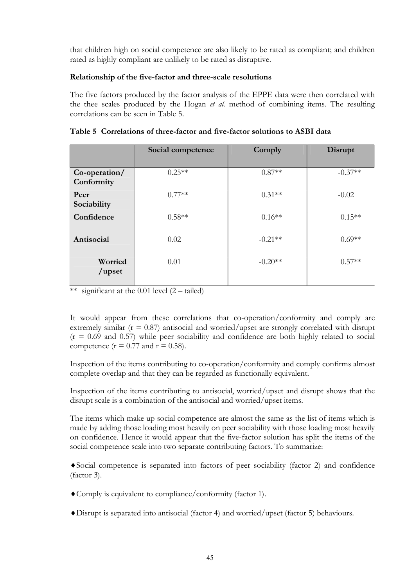that children high on social competence are also likely to be rated as compliant; and children rated as highly compliant are unlikely to be rated as disruptive.

#### **Relationship of the five-factor and three-scale resolutions**

The five factors produced by the factor analysis of the EPPE data were then correlated with the thee scales produced by the Hogan *et al.* method of combining items. The resulting correlations can be seen in Table 5.

|                               | Social competence | Comply    | Disrupt   |  |
|-------------------------------|-------------------|-----------|-----------|--|
| $Co-operation/$<br>Conformity | $0.25**$          | $0.87**$  | $-0.37**$ |  |
| Peer<br>Sociability           | $0.77**$          | $0.31**$  | $-0.02$   |  |
| Confidence                    | $0.58**$          | $0.16**$  | $0.15**$  |  |
| Antisocial                    | 0.02              | $-0.21**$ | $0.69**$  |  |
| Worried<br>/upset             | 0.01              | $-0.20**$ | $0.57**$  |  |

#### **Table 5 Correlations of three-factor and five-factor solutions to ASBI data**

\*\* significant at the 0.01 level  $(2 - \text{tailed})$ 

It would appear from these correlations that co-operation/conformity and comply are extremely similar  $(r = 0.87)$  antisocial and worried/upset are strongly correlated with disrupt  $(r = 0.69$  and 0.57) while peer sociability and confidence are both highly related to social competence ( $r = 0.77$  and  $r = 0.58$ ).

Inspection of the items contributing to co-operation/conformity and comply confirms almost complete overlap and that they can be regarded as functionally equivalent.

Inspection of the items contributing to antisocial, worried/upset and disrupt shows that the disrupt scale is a combination of the antisocial and worried/upset items.

The items which make up social competence are almost the same as the list of items which is made by adding those loading most heavily on peer sociability with those loading most heavily on confidence. Hence it would appear that the five-factor solution has split the items of the social competence scale into two separate contributing factors. To summarize:

 $\bullet$  Social competence is separated into factors of peer sociability (factor 2) and confidence (factor 3).

- ®Comply is equivalent to compliance/conformity (factor 1).
- ®Disrupt is separated into antisocial (factor 4) and worried/upset (factor 5) behaviours.